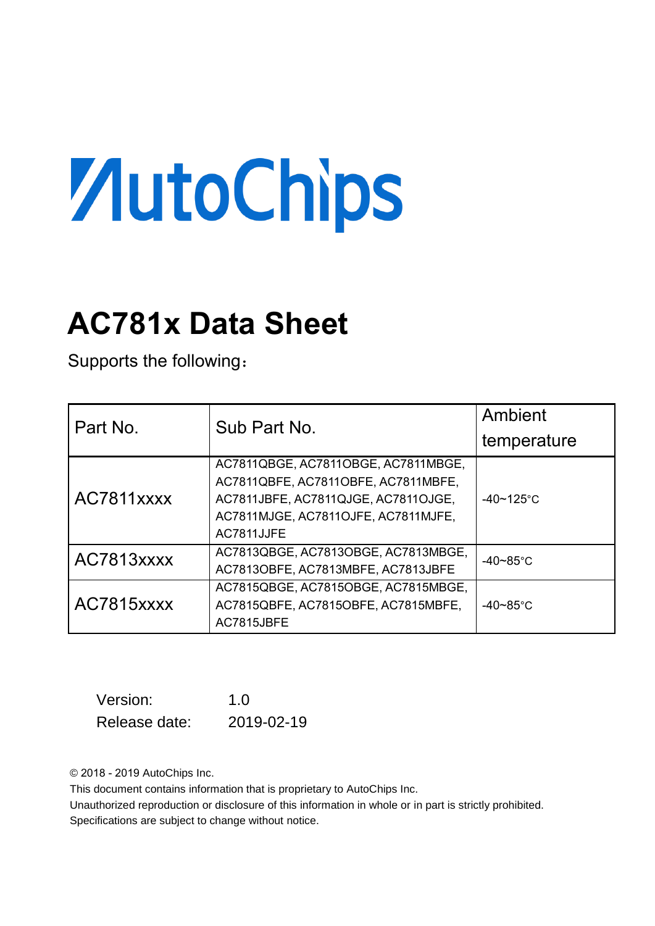# ZutoChips

# **AC781x Data Sheet**

Supports the following:

| Part No.   | Sub Part No.                                                                                                                                                           | Ambient            |  |
|------------|------------------------------------------------------------------------------------------------------------------------------------------------------------------------|--------------------|--|
|            |                                                                                                                                                                        | temperature        |  |
| AC7811xxxx | AC7811QBGE, AC7811OBGE, AC7811MBGE,<br>AC7811QBFE, AC7811OBFE, AC7811MBFE,<br>AC7811JBFE, AC7811QJGE, AC7811OJGE,<br>AC7811MJGE, AC7811OJFE, AC7811MJFE,<br>AC7811JJFE | $-40 - 125$ °C     |  |
| AC7813xxxx | AC7813QBGE, AC7813OBGE, AC7813MBGE,<br>AC7813OBFE, AC7813MBFE, AC7813JBFE                                                                                              | $-40-85^{\circ}$ C |  |
| AC7815xxxx | AC7815QBGE, AC7815OBGE, AC7815MBGE,<br>AC7815QBFE, AC7815OBFE, AC7815MBFE,<br>AC7815JBFE                                                                               | $-40 - 85$ °C      |  |

| Version:      | 1.0        |
|---------------|------------|
| Release date: | 2019-02-19 |

© 2018 - 2019 AutoChips Inc.

This document contains information that is proprietary to AutoChips Inc.

Unauthorized reproduction or disclosure of this information in whole or in part is strictly prohibited. Specifications are subject to change without notice.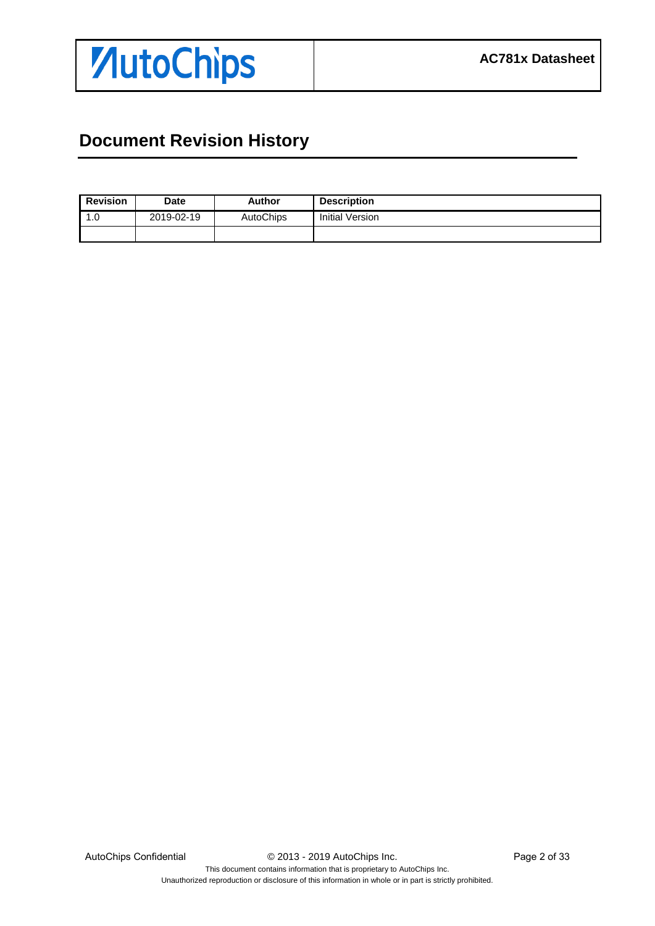

# <span id="page-1-0"></span>**Document Revision History**

| <b>Revision</b> | <b>Date</b> | <b>Author</b>    | <b>Description</b> |
|-----------------|-------------|------------------|--------------------|
| 0. ا            | 2019-02-19  | <b>AutoChips</b> | Initial Version    |
|                 |             |                  |                    |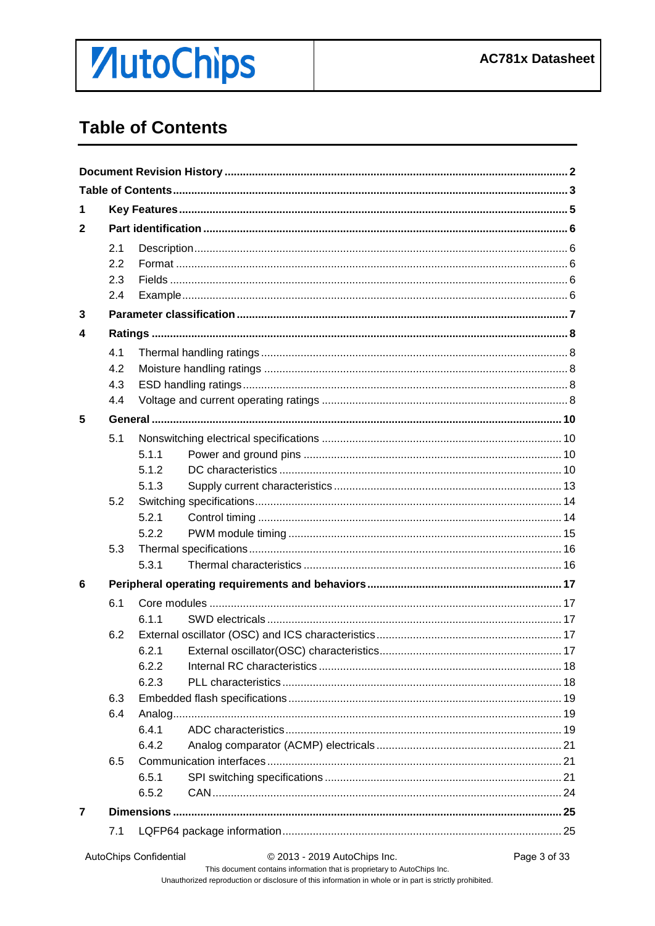# **ZutoChips**

# <span id="page-2-0"></span>**Table of Contents**

| 1              |     |       |  |
|----------------|-----|-------|--|
| $\mathbf{2}$   |     |       |  |
|                | 2.1 |       |  |
|                | 2.2 |       |  |
|                | 2.3 |       |  |
|                | 2.4 |       |  |
| 3              |     |       |  |
| 4              |     |       |  |
|                | 4.1 |       |  |
|                | 4.2 |       |  |
|                | 4.3 |       |  |
|                | 4.4 |       |  |
| 5              |     |       |  |
|                | 5.1 |       |  |
|                |     | 5.1.1 |  |
|                |     | 5.1.2 |  |
|                |     | 5.1.3 |  |
|                | 5.2 |       |  |
|                |     | 5.2.1 |  |
|                |     | 5.2.2 |  |
|                | 5.3 |       |  |
|                |     | 5.3.1 |  |
| 6              |     |       |  |
|                | 6.1 |       |  |
|                |     | 6.1.1 |  |
|                | 6.2 |       |  |
|                |     |       |  |
|                |     | 6.2.2 |  |
|                |     | 6.2.3 |  |
|                | 6.3 |       |  |
|                | 6.4 |       |  |
|                |     | 6.4.1 |  |
|                |     | 6.4.2 |  |
|                | 6.5 |       |  |
|                |     | 6.5.1 |  |
|                |     | 6.5.2 |  |
| $\overline{7}$ |     |       |  |
|                | 7.1 |       |  |
|                |     |       |  |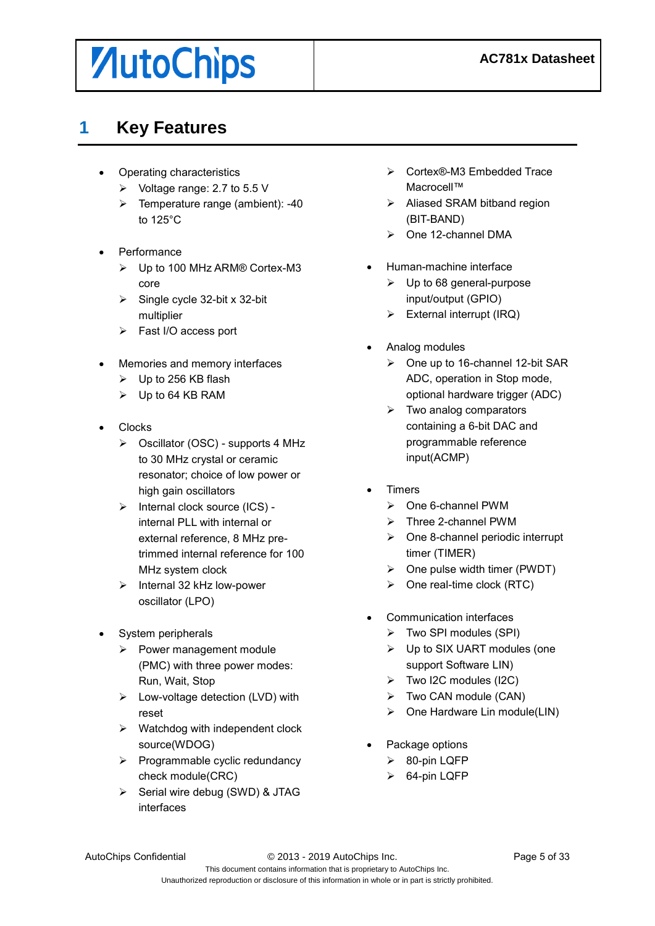# *AutoChips*

### <span id="page-4-0"></span>**1 Key Features**

- Operating characteristics
	- $\triangleright$  Voltage range: 2.7 to 5.5 V
	- $\triangleright$  Temperature range (ambient): -40 to 125°C
- Performance
	- Up to 100 MHz ARM® Cortex-M3 core
	- $\triangleright$  Single cycle 32-bit x 32-bit multiplier
	- Fast I/O access port
- Memories and memory interfaces
	- $\triangleright$  Up to 256 KB flash
	- $\triangleright$  Up to 64 KB RAM
- Clocks
	- Oscillator (OSC) supports 4 MHz to 30 MHz crystal or ceramic resonator; choice of low power or high gain oscillators
	- $\triangleright$  Internal clock source (ICS) internal PLL with internal or external reference, 8 MHz pretrimmed internal reference for 100 MHz system clock
	- $\triangleright$  Internal 32 kHz low-power oscillator (LPO)
- System peripherals
	- $\triangleright$  Power management module (PMC) with three power modes: Run, Wait, Stop
	- $\triangleright$  Low-voltage detection (LVD) with reset
	- $\triangleright$  Watchdog with independent clock source(WDOG)
	- $\triangleright$  Programmable cyclic redundancy check module(CRC)
	- $\triangleright$  Serial wire debug (SWD) & JTAG interfaces
- Cortex®-M3 Embedded Trace Macrocell™
- $\triangleright$  Aliased SRAM bitband region (BIT-BAND)
- $\triangleright$  One 12-channel DMA
- Human-machine interface
	- $\triangleright$  Up to 68 general-purpose input/output (GPIO)
	- $\triangleright$  External interrupt (IRQ)
- Analog modules
	- One up to 16-channel 12-bit SAR ADC, operation in Stop mode, optional hardware trigger (ADC)
	- $\triangleright$  Two analog comparators containing a 6-bit DAC and programmable reference input(ACMP)
- Timers
	- $\triangleright$  One 6-channel PWM
	- > Three 2-channel PWM
	- $\triangleright$  One 8-channel periodic interrupt timer (TIMER)
	- $\triangleright$  One pulse width timer (PWDT)
	- $\triangleright$  One real-time clock (RTC)
	- Communication interfaces
		- $\triangleright$  Two SPI modules (SPI)
		- Up to SIX UART modules (one support Software LIN)
		- $\triangleright$  Two I2C modules (I2C)
		- Two CAN module (CAN)
		- $\triangleright$  One Hardware Lin module(LIN)
	- Package options
		- 80-pin LQFP
		- $\triangleright$  64-pin LQFP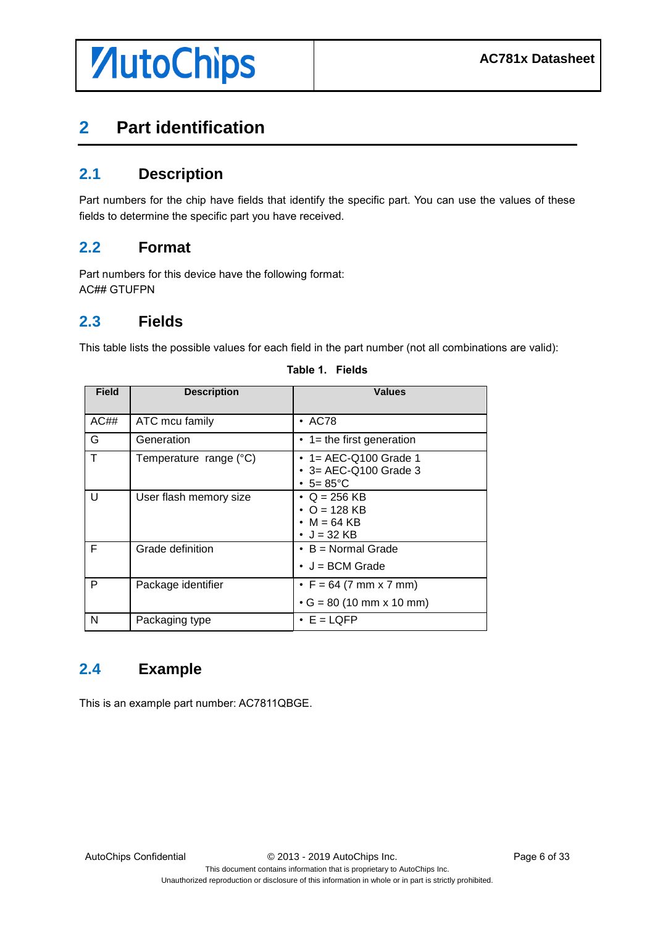# <span id="page-5-0"></span>**2 Part identification**

### <span id="page-5-1"></span>**2.1 Description**

Part numbers for the chip have fields that identify the specific part. You can use the values of these fields to determine the specific part you have received.

#### <span id="page-5-2"></span>**2.2 Format**

Part numbers for this device have the following format: AC## GTUFPN

### <span id="page-5-3"></span>**2.3 Fields**

This table lists the possible values for each field in the part number (not all combinations are valid):

| <b>Field</b> | <b>Description</b>     | <b>Values</b>                                                            |
|--------------|------------------------|--------------------------------------------------------------------------|
| AC##         | ATC mcu family         | $\cdot$ AC78                                                             |
| G            | Generation             | $\cdot$ 1 = the first generation                                         |
| T            | Temperature range (°C) | • 1 = AEC-Q100 Grade 1<br>• 3= AEC-Q100 Grade 3<br>• $5 = 85^{\circ}C$   |
| U            | User flash memory size | $\cdot$ Q = 256 KB<br>• O = 128 KB<br>$\cdot$ M = 64 KB<br>• $J = 32$ KB |
| F            | Grade definition       | $\cdot$ B = Normal Grade<br>$\bullet$ J = BCM Grade                      |
| P            | Package identifier     | • $F = 64 (7 mm \times 7 mm)$<br>$\cdot$ G = 80 (10 mm x 10 mm)          |
| N            | Packaging type         | $\cdot$ E = LQFP                                                         |

#### **Table 1. Fields**

### <span id="page-5-4"></span>**2.4 Example**

This is an example part number: AC7811QBGE.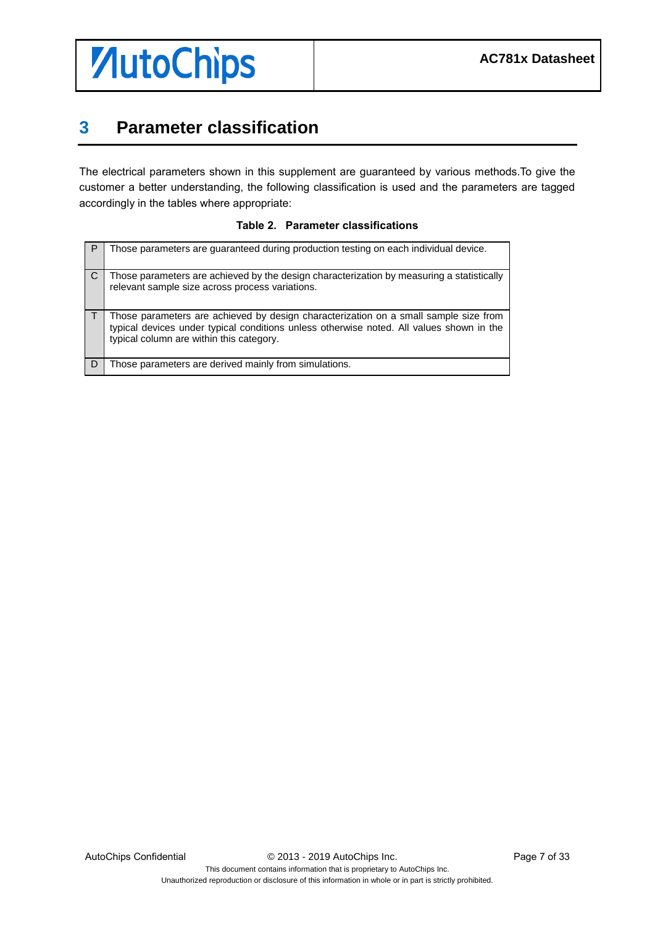

### <span id="page-6-0"></span>**3 Parameter classification**

The electrical parameters shown in this supplement are guaranteed by various methods.To give the customer a better understanding, the following classification is used and the parameters are tagged accordingly in the tables where appropriate:

|  |  | Table 2. Parameter classifications |
|--|--|------------------------------------|
|--|--|------------------------------------|

| Those parameters are guaranteed during production testing on each individual device.                                                                                                                                         |
|------------------------------------------------------------------------------------------------------------------------------------------------------------------------------------------------------------------------------|
| Those parameters are achieved by the design characterization by measuring a statistically<br>relevant sample size across process variations.                                                                                 |
| Those parameters are achieved by design characterization on a small sample size from<br>typical devices under typical conditions unless otherwise noted. All values shown in the<br>typical column are within this category. |
| Those parameters are derived mainly from simulations.                                                                                                                                                                        |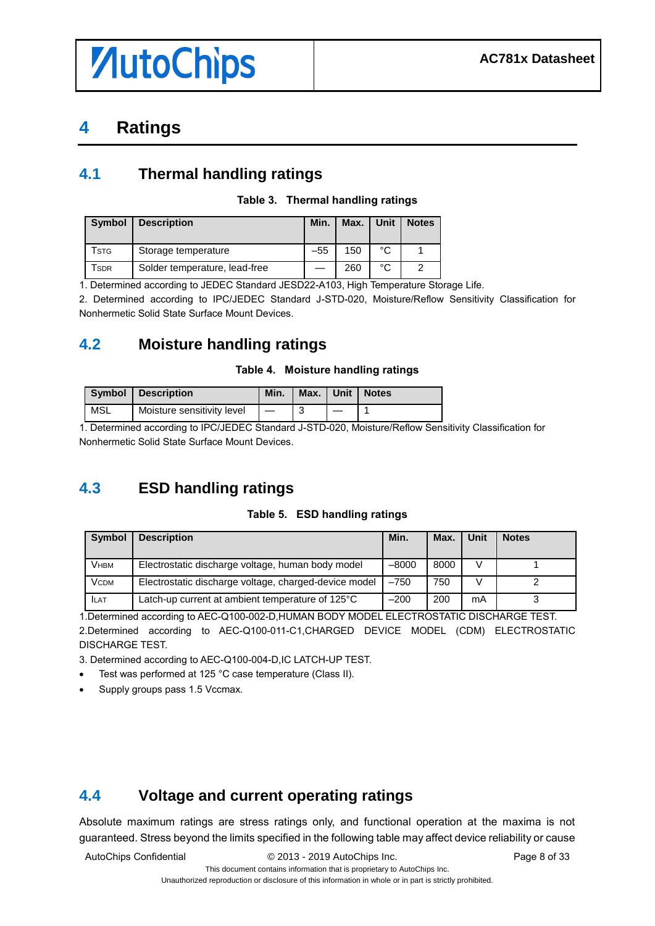# *AutoChips*

## <span id="page-7-0"></span>**4 Ratings**

### <span id="page-7-1"></span>**4.1 Thermal handling ratings**

#### **Table 3. Thermal handling ratings**

| <b>Symbol</b>    | <b>Description</b>            | Min.  | Max. | Unit | <b>Notes</b> |
|------------------|-------------------------------|-------|------|------|--------------|
| Tstg             | Storage temperature           | $-55$ | 150  | °C   |              |
| SDR <sup>-</sup> | Solder temperature, lead-free |       | 260  | °C   |              |

1. Determined according to JEDEC Standard JESD22-A103, High Temperature Storage Life.

2. Determined according to IPC/JEDEC Standard J-STD-020, Moisture/Reflow Sensitivity Classification for Nonhermetic Solid State Surface Mount Devices.

### <span id="page-7-2"></span>**4.2 Moisture handling ratings**

#### **Table 4. Moisture handling ratings**

|     | Symbol   Description       | Min. |  | Max.   Unit   Notes |
|-----|----------------------------|------|--|---------------------|
| MSL | Moisture sensitivity level |      |  |                     |

1. Determined according to IPC/JEDEC Standard J-STD-020, Moisture/Reflow Sensitivity Classification for Nonhermetic Solid State Surface Mount Devices.

### <span id="page-7-3"></span>**4.3 ESD handling ratings**

#### **Table 5. ESD handling ratings**

| <b>Symbol</b> | <b>Description</b>                                    | Min.    | <b>Max</b> | Unit | <b>Notes</b> |
|---------------|-------------------------------------------------------|---------|------------|------|--------------|
| <b>V</b> нвм  | Electrostatic discharge voltage, human body model     | $-8000$ | 8000       | V    |              |
| <b>VCDM</b>   | Electrostatic discharge voltage, charged-device model | $-750$  | 750        | v    |              |
| <b>ILAT</b>   | Latch-up current at ambient temperature of 125°C      | $-200$  | 200        | mA   |              |

1.Determined according to AEC-Q100-002-D,HUMAN BODY MODEL ELECTROSTATIC DISCHARGE TEST.

2.Determined according to AEC-Q100-011-C1,CHARGED DEVICE MODEL (CDM) ELECTROSTATIC DISCHARGE TEST.

3. Determined according to AEC-Q100-004-D,IC LATCH-UP TEST.

- Test was performed at 125 °C case temperature (Class II).
- Supply groups pass 1.5 Vccmax.

### <span id="page-7-4"></span>**4.4 Voltage and current operating ratings**

Absolute maximum ratings are stress ratings only, and functional operation at the maxima is not guaranteed. Stress beyond the limits specified in the following table may affect device reliability or cause

AutoChips Confidential  $\degree$  2013 - 2019 AutoChips Inc. Page 8 of 33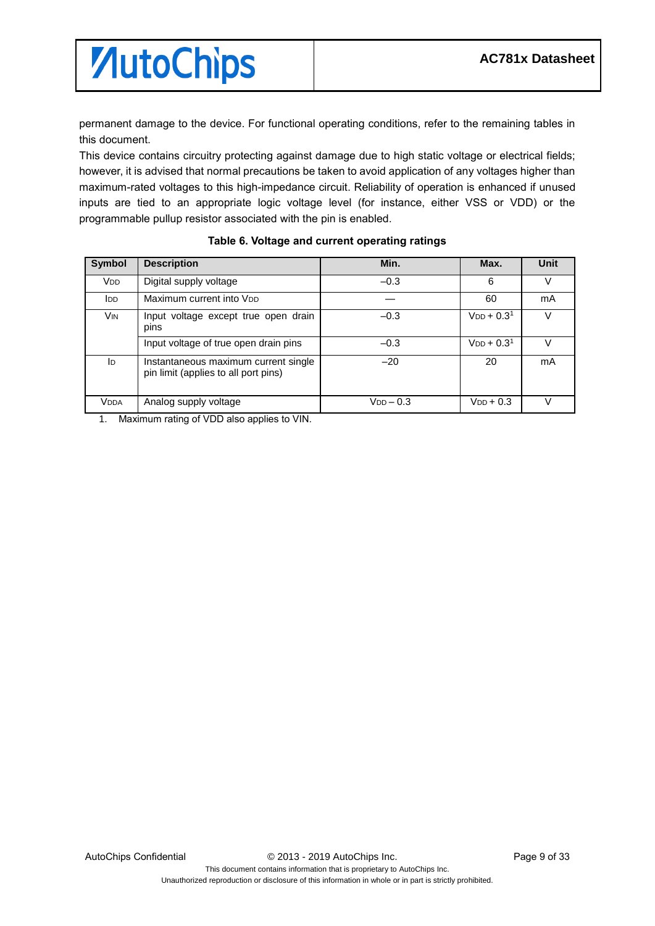permanent damage to the device. For functional operating conditions, refer to the remaining tables in this document.

This device contains circuitry protecting against damage due to high static voltage or electrical fields; however, it is advised that normal precautions be taken to avoid application of any voltages higher than maximum-rated voltages to this high-impedance circuit. Reliability of operation is enhanced if unused inputs are tied to an appropriate logic voltage level (for instance, either VSS or VDD) or the programmable pullup resistor associated with the pin is enabled.

| Symbol                | <b>Description</b>                                                           | Min.             | Max.            | Unit |
|-----------------------|------------------------------------------------------------------------------|------------------|-----------------|------|
| <b>V<sub>DD</sub></b> | Digital supply voltage                                                       | $-0.3$           | 6               | V    |
| ldd.                  | Maximum current into V <sub>DD</sub>                                         |                  | 60              | mA   |
| Vin                   | Input voltage except true open drain<br>pins                                 | $-0.3$           | $V_{DD} + 0.31$ | V    |
|                       | Input voltage of true open drain pins                                        | $-0.3$           | $V_{DD} + 0.31$ | V    |
| ID.                   | Instantaneous maximum current single<br>pin limit (applies to all port pins) | $-20$            | 20              | mA   |
| <b>VDDA</b>           | Analog supply voltage                                                        | $V_{DD}$ $-$ 0.3 | $V_{DD}$ + 0.3  |      |

#### **Table 6. Voltage and current operating ratings**

1. Maximum rating of VDD also applies to VIN.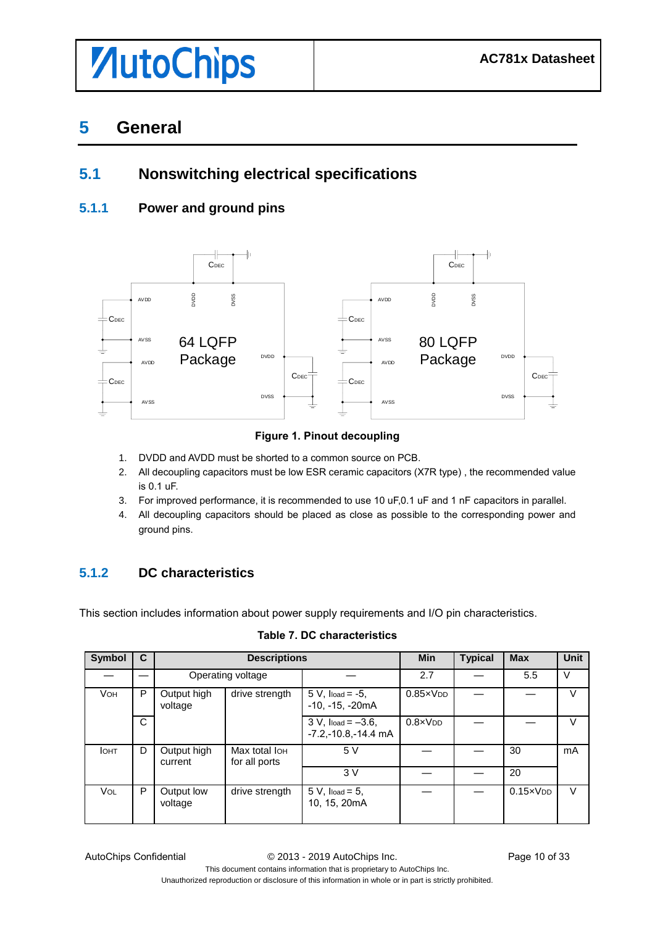### <span id="page-9-0"></span>**5 General**

### <span id="page-9-1"></span>**5.1 Nonswitching electrical specifications**

#### <span id="page-9-2"></span>**5.1.1 Power and ground pins**



#### **Figure 1. Pinout decoupling**

- 1. DVDD and AVDD must be shorted to a common source on PCB.
- 2. All decoupling capacitors must be low ESR ceramic capacitors (X7R type) , the recommended value is 0.1 uF.
- 3. For improved performance, it is recommended to use 10 uF,0.1 uF and 1 nF capacitors in parallel.
- 4. All decoupling capacitors should be placed as close as possible to the corresponding power and ground pins.

#### <span id="page-9-3"></span>**5.1.2 DC characteristics**

This section includes information about power supply requirements and I/O pin characteristics.

| <b>Symbol</b> | C            | <b>Descriptions</b>    |                                            | <b>Min</b>                                             | <b>Typical</b>    | <b>Max</b> | Unit              |        |
|---------------|--------------|------------------------|--------------------------------------------|--------------------------------------------------------|-------------------|------------|-------------------|--------|
|               |              |                        | Operating voltage                          |                                                        | 2.7               |            | 5.5               | $\vee$ |
| <b>VOH</b>    | P            | Output high<br>voltage | drive strength                             | $5 V$ , $I / 10$ = $-5$ ,<br>$-10, -15, -20mA$         | $0.85 \times VDD$ |            |                   | $\vee$ |
|               | $\mathsf{C}$ |                        |                                            | $3 V$ , $I_{load} = -3.6$ ,<br>$-7.2, -10.8, -14.4$ mA | $0.8 \times V$ DD |            |                   | V      |
| <b>I</b> OHT  | D            | Output high<br>current | Max total Io <sub>H</sub><br>for all ports | 5V                                                     |                   |            | 30                | mA     |
|               |              |                        |                                            | 3V                                                     |                   |            | 20                |        |
| <b>VOL</b>    | P            | Output low<br>voltage  | drive strength                             | $5 V$ , $I_{load} = 5$ ,<br>10, 15, 20mA               |                   |            | $0.15 \times VDD$ | $\vee$ |

AutoChips Confidential © 2013 - 2019 AutoChips Inc. Page 10 of 33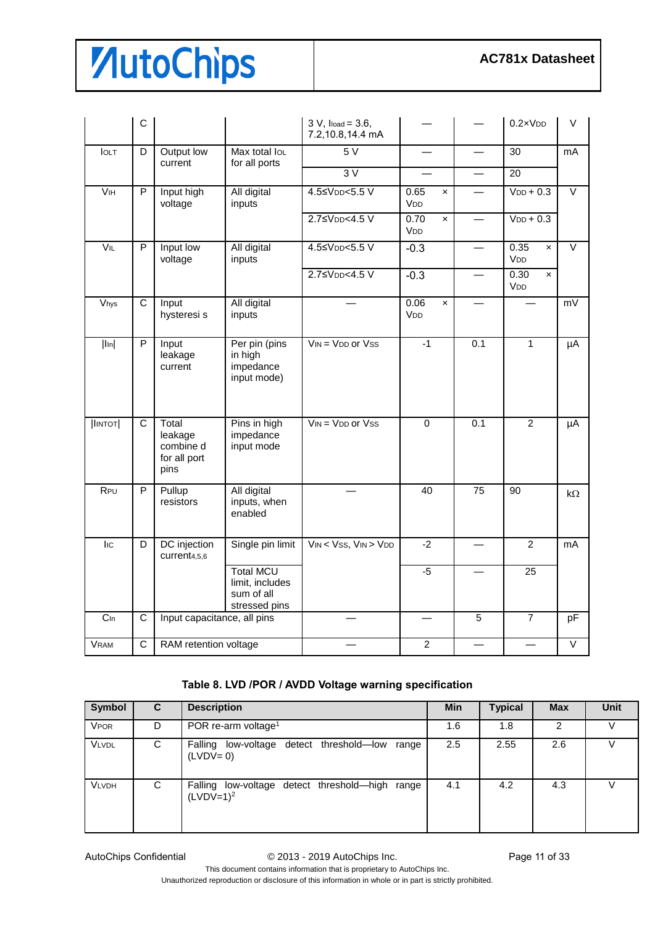|                    | $\mathsf C$           |                                                       |                                                                    | $3 V$ , $I$ load = $3.6$ ,<br>7.2,10.8,14.4 mA |                                                            |                 | $0.2 \times VDD$                         | V                 |
|--------------------|-----------------------|-------------------------------------------------------|--------------------------------------------------------------------|------------------------------------------------|------------------------------------------------------------|-----------------|------------------------------------------|-------------------|
| <b>IOLT</b>        | D                     | Output low<br>current                                 | Max total loL<br>for all ports                                     | 5V                                             |                                                            |                 | 30                                       | mA                |
|                    |                       |                                                       |                                                                    | 3V                                             |                                                            |                 | 20                                       |                   |
| $\overline{V}$ IH  | $\overline{P}$        | Input high<br>voltage                                 | All digital<br>inputs                                              | 4.5≤VDD<5.5 V                                  | 0.65<br>$\mathsf{x}$<br>V <sub>DD</sub>                    |                 | $VDD + 0.3$                              | $\overline{\vee}$ |
|                    |                       |                                                       |                                                                    | 2.7≤V <sub>DD</sub> <4.5 V                     | 0.70<br>$\pmb{\times}$<br>VDD                              |                 | $VDD + 0.3$                              |                   |
| VIL                | P                     | Input low<br>voltage                                  | All digital<br>inputs                                              | 4.5≤VDD<5.5 V                                  | $-0.3$                                                     |                 | 0.35<br>$\boldsymbol{\mathsf{x}}$<br>VDD | $\vee$            |
|                    |                       |                                                       |                                                                    | 2.7≤V <sub>DD</sub> <4.5 V                     | $-0.3$                                                     |                 | 0.30<br>$\mathsf{x}$<br>VDD              |                   |
| $\overline{V}$ hys | $\overline{\text{c}}$ | Input<br>hysteresi s                                  | All digital<br>inputs                                              |                                                | 0.06<br>$\boldsymbol{\mathsf{x}}$<br><b>V<sub>DD</sub></b> |                 |                                          | mV                |
| $ I_{In} $         | $\overline{P}$        | Input<br>leakage<br>current                           | Per pin (pins<br>in high<br>impedance<br>input mode)               | $V_{IN} = V_{DD}$ or $V_{SS}$                  | $-1$                                                       | 0.1             | $\overline{1}$                           | μA                |
| $ $ INTOT $ $      | $\overline{C}$        | Total<br>leakage<br>combine d<br>for all port<br>pins | Pins in high<br>impedance<br>input mode                            | $V_{IN} = V_{DD}$ or $V_{SS}$                  | $\overline{0}$                                             | 0.1             | 2                                        | μA                |
| RPU                | $\overline{P}$        | Pullup<br>resistors                                   | All digital<br>inputs, when<br>enabled                             |                                                | 40                                                         | $\overline{75}$ | 90                                       | $k\Omega$         |
| lic                | D                     | DC injection<br>current <sub>4,5,6</sub>              | Single pin limit                                                   | $V_{IN} < V_{SS}$ , $V_{IN} > V_{DD}$          | $-2$                                                       |                 | $\overline{2}$                           | mA                |
|                    |                       |                                                       | <b>Total MCU</b><br>limit, includes<br>sum of all<br>stressed pins |                                                | $-5$                                                       |                 | 25                                       |                   |
| C <sub>In</sub>    | $\overline{C}$        | Input capacitance, all pins                           |                                                                    |                                                |                                                            | $\overline{5}$  | $\overline{7}$                           | pF                |
| <b>VRAM</b>        | $\overline{C}$        | RAM retention voltage                                 |                                                                    |                                                | $\overline{2}$                                             |                 |                                          | $\overline{\vee}$ |

#### **Table 8. LVD /POR / AVDD Voltage warning specification**

| Symbol       | C. | <b>Description</b>                                             | <b>Min</b> | <b>Typical</b> | <b>Max</b> | Unit |
|--------------|----|----------------------------------------------------------------|------------|----------------|------------|------|
| <b>VPOR</b>  | D  | POR re-arm voltage <sup>1</sup>                                | 1.6        | 1.8            | 2          |      |
| <b>VLVDL</b> | C  | Falling low-voltage detect threshold-low range<br>$(LVDV=0)$   | 2.5        | 2.55           | 2.6        |      |
| <b>VLVDH</b> | C  | Falling low-voltage detect threshold-high range<br>$(LVDV=1)2$ | 4.1        | 4.2            | 4.3        |      |

AutoChips Confidential  $\oslash$  2013 - 2019 AutoChips Inc. Page 11 of 33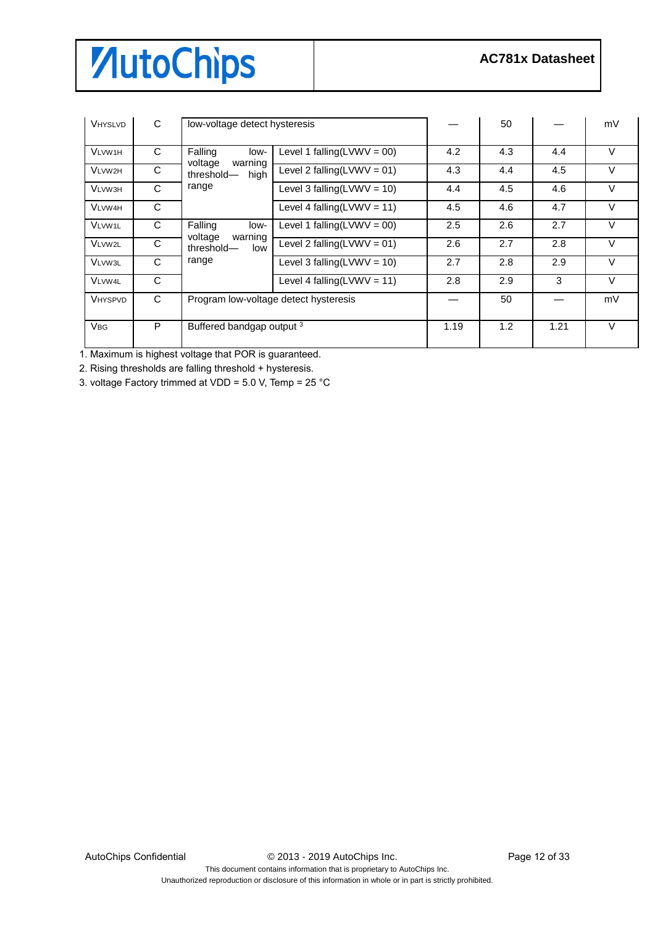| <b>VHYSLVD</b>        | C | low-voltage detect hysteresis            |                                |     | 50  |      | mV     |
|-----------------------|---|------------------------------------------|--------------------------------|-----|-----|------|--------|
| <b>VLVW1H</b>         | C | Falling<br>low-                          | Level 1 falling $(LVWV = 00)$  | 4.2 | 4.3 | 4.4  | $\vee$ |
| VLVW2H                | C | voltage<br>warning<br>threshold-<br>high | Level 2 falling( $LVWV = 01$ ) | 4.3 | 4.4 | 4.5  | V      |
| <b>VLVW3H</b>         | C | range                                    | Level 3 falling( $LVWV = 10$ ) | 4.4 | 4.5 | 4.6  | $\vee$ |
| <b>VLVW4H</b>         | C |                                          | Level 4 falling( $LVWV = 11$ ) | 4.5 | 4.6 | 4.7  | V      |
| <b>VLVW1L</b>         | C | Falling<br>low-                          | Level 1 falling( $LVWV = 00$ ) | 2.5 | 2.6 | 2.7  | $\vee$ |
| VLVW2L                | C | voltage<br>warning<br>threshold-<br>low  | Level 2 falling( $LVWV = 01$ ) | 2.6 | 2.7 | 2.8  | $\vee$ |
| <b>VLVW3L</b>         | C | range                                    | Level 3 falling( $LVWV = 10$ ) | 2.7 | 2.8 | 2.9  | $\vee$ |
| <b>VLVW4L</b>         | C |                                          | Level 4 falling( $LVWV = 11$ ) | 2.8 | 2.9 | 3    | $\vee$ |
| <b>VHYSPVD</b>        | C | Program low-voltage detect hysteresis    |                                |     | 50  |      | mV     |
| <b>V<sub>BG</sub></b> | P |                                          | Buffered bandgap output 3      |     | 1.2 | 1.21 | $\vee$ |

1. Maximum is highest voltage that POR is guaranteed.

2. Rising thresholds are falling threshold + hysteresis.

3. voltage Factory trimmed at VDD = 5.0 V, Temp = 25 °C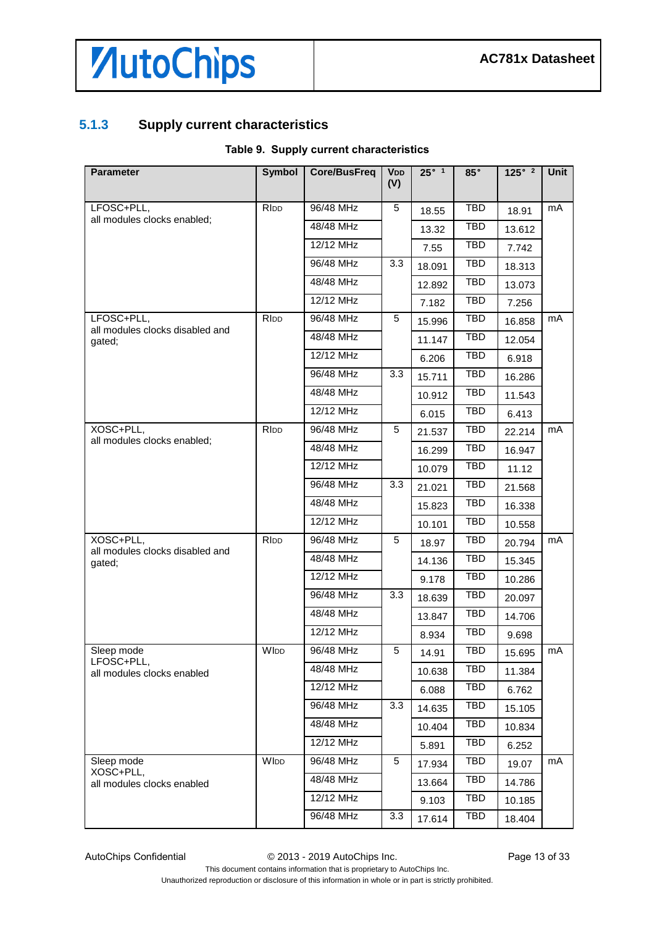### <span id="page-12-0"></span>**5.1.3 Supply current characteristics**

#### **Table 9. Supply current characteristics**

| <b>Parameter</b>                          | <b>Symbol</b> | <b>Core/BusFreq</b> | <b>VDD</b><br>(V) | $25^\circ$ 1 | $85^\circ$ | 125° <sup>2</sup> | Unit |
|-------------------------------------------|---------------|---------------------|-------------------|--------------|------------|-------------------|------|
| LFOSC+PLL,                                | <b>RIDD</b>   | 96/48 MHz           | 5                 | 18.55        | <b>TBD</b> | 18.91             | mA   |
| all modules clocks enabled;               |               | 48/48 MHz           |                   | 13.32        | <b>TBD</b> | 13.612            |      |
|                                           |               | 12/12 MHz           |                   | 7.55         | TBD        | 7.742             |      |
|                                           |               | 96/48 MHz           | 3.3               | 18.091       | <b>TBD</b> | 18.313            |      |
|                                           |               | 48/48 MHz           |                   | 12.892       | TBD        | 13.073            |      |
|                                           |               | 12/12 MHz           |                   | 7.182        | <b>TBD</b> | 7.256             |      |
| LFOSC+PLL,                                | <b>RIDD</b>   | 96/48 MHz           | 5                 | 15.996       | <b>TBD</b> | 16.858            | mA   |
| all modules clocks disabled and<br>gated; |               | 48/48 MHz           |                   | 11.147       | TBD        | 12.054            |      |
|                                           |               | 12/12 MHz           |                   | 6.206        | <b>TBD</b> | 6.918             |      |
|                                           |               | 96/48 MHz           | 3.3               | 15.711       | TBD        | 16.286            |      |
|                                           |               | 48/48 MHz           |                   | 10.912       | TBD        | 11.543            |      |
|                                           |               | 12/12 MHz           |                   | 6.015        | <b>TBD</b> | 6.413             |      |
| XOSC+PLL,                                 | <b>RIDD</b>   | 96/48 MHz           | 5                 | 21.537       | TBD        | 22.214            | mA   |
| all modules clocks enabled;               |               | 48/48 MHz           |                   | 16.299       | <b>TBD</b> | 16.947            |      |
|                                           |               | 12/12 MHz           |                   | 10.079       | <b>TBD</b> | 11.12             |      |
|                                           |               | 96/48 MHz           | 3.3               | 21.021       | TBD        | 21.568            |      |
|                                           |               | 48/48 MHz           |                   | 15.823       | <b>TBD</b> | 16.338            |      |
|                                           |               | 12/12 MHz           |                   | 10.101       | TBD        | 10.558            |      |
| XOSC+PLL,                                 | RIDD          | 96/48 MHz           | 5                 | 18.97        | <b>TBD</b> | 20.794            | mA   |
| all modules clocks disabled and<br>gated; |               | 48/48 MHz           |                   | 14.136       | <b>TBD</b> | 15.345            |      |
|                                           |               | 12/12 MHz           |                   | 9.178        | <b>TBD</b> | 10.286            |      |
|                                           |               | 96/48 MHz           | 3.3               | 18.639       | <b>TBD</b> | 20.097            |      |
|                                           |               | 48/48 MHz           |                   | 13.847       | TBD        | 14.706            |      |
|                                           |               | 12/12 MHz           |                   | 8.934        | <b>TBD</b> | 9.698             |      |
| Sleep mode                                | WIDD          | 96/48 MHz           | 5                 | 14.91        | <b>TBD</b> | 15.695            | mA   |
| LFOSC+PLL,<br>all modules clocks enabled  |               | 48/48 MHz           |                   | 10.638       | TBD        | 11.384            |      |
|                                           |               | 12/12 MHz           |                   | 6.088        | TBD        | 6.762             |      |
|                                           |               | 96/48 MHz           | 3.3               | 14.635       | <b>TBD</b> | 15.105            |      |
|                                           |               | 48/48 MHz           |                   | 10.404       | TBD        | 10.834            |      |
|                                           |               | 12/12 MHz           |                   | 5.891        | <b>TBD</b> | 6.252             |      |
| Sleep mode                                | WIDD          | 96/48 MHz           | 5                 | 17.934       | <b>TBD</b> | 19.07             | mA   |
| XOSC+PLL,<br>all modules clocks enabled   |               | 48/48 MHz           |                   | 13.664       | TBD        | 14.786            |      |
|                                           |               | 12/12 MHz           |                   | 9.103        | TBD        | 10.185            |      |
|                                           |               | 96/48 MHz           | 3.3               | 17.614       | TBD        | 18.404            |      |

AutoChips Confidential  $\degree$  2013 - 2019 AutoChips Inc. Page 13 of 33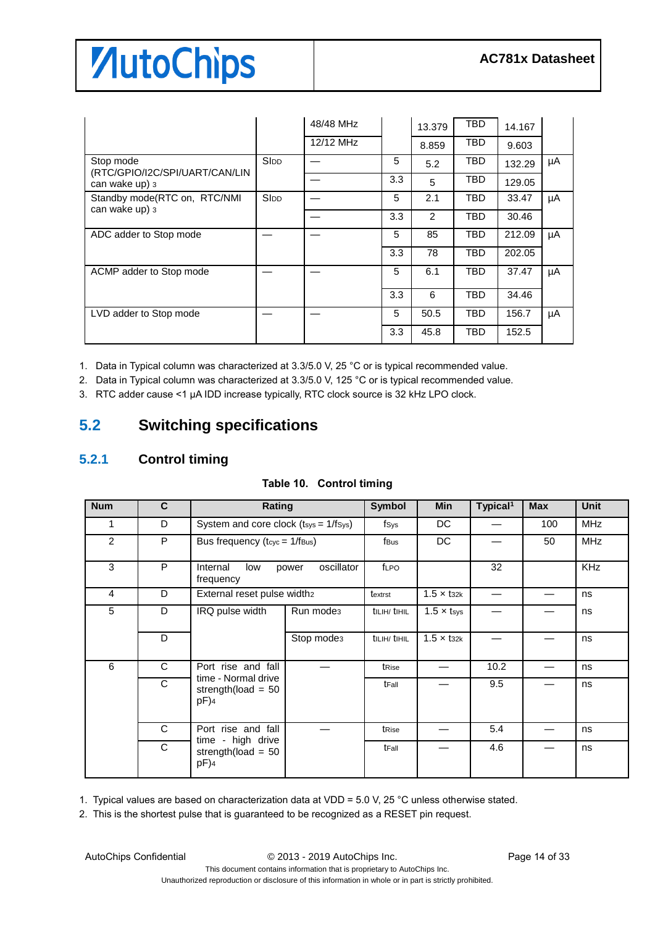|                                                |             | 48/48 MHz |     | 13.379 | TBD        | 14.167 |    |
|------------------------------------------------|-------------|-----------|-----|--------|------------|--------|----|
|                                                |             | 12/12 MHz |     | 8.859  | TBD        | 9.603  |    |
| Stop mode<br>(RTC/GPIO/I2C/SPI/UART/CAN/LIN    | <b>SIDD</b> |           | 5   | 5.2    | TBD        | 132.29 | μA |
| can wake up) 3                                 |             |           | 3.3 | 5      | TBD        | 129.05 |    |
| Standby mode(RTC on, RTC/NMI<br>can wake up) 3 | <b>SIDD</b> |           | 5   | 2.1    | TBD        | 33.47  | μA |
|                                                |             |           | 3.3 | 2      | TBD        | 30.46  |    |
| ADC adder to Stop mode                         |             |           | 5   | 85     | TBD        | 212.09 | μA |
|                                                |             |           | 3.3 | 78     | TBD        | 202.05 |    |
| ACMP adder to Stop mode                        |             |           | 5   | 6.1    | TBD        | 37.47  | μA |
|                                                |             |           | 3.3 | 6      | TBD        | 34.46  |    |
| LVD adder to Stop mode                         |             |           | 5   | 50.5   | TBD        | 156.7  | μA |
|                                                |             |           | 3.3 | 45.8   | <b>TBD</b> | 152.5  |    |

1. Data in Typical column was characterized at 3.3/5.0 V, 25 °C or is typical recommended value.

2. Data in Typical column was characterized at 3.3/5.0 V, 125 °C or is typical recommended value.

3. RTC adder cause <1 µA IDD increase typically, RTC clock source is 32 kHz LPO clock.

### <span id="page-13-0"></span>**5.2 Switching specifications**

#### <span id="page-13-1"></span>**5.2.1 Control timing**

| <b>Num</b>     | C            | Rating                                                 |                        | <b>Symbol</b> | Min                           | Typical <sup>1</sup> | <b>Max</b> | <b>Unit</b> |
|----------------|--------------|--------------------------------------------------------|------------------------|---------------|-------------------------------|----------------------|------------|-------------|
| 1              | D            | System and core clock $(t_{sys} = 1/f_{sys})$          |                        | fsys          | DC.                           |                      | 100        | <b>MHz</b>  |
| $\overline{2}$ | P            | Bus frequency ( $t_{\text{cyc}} = 1/f_{\text{Bus}}$ )  |                        | fBus          | <b>DC</b>                     |                      | 50         | <b>MHz</b>  |
| 3              | P            | oscillator<br>Internal<br>low<br>power<br>frequency    |                        | fLPO          |                               | 32                   |            | <b>KHz</b>  |
| 4              | D            | External reset pulse width2                            |                        | textrst       | $1.5 \times$ t <sub>32k</sub> |                      |            | ns          |
| 5              | D            | IRQ pulse width                                        | Run mode <sub>3</sub>  | tillh/tihil   | $1.5 \times t$ sys            |                      |            | ns          |
|                | D            |                                                        | Stop mode <sub>3</sub> | tillH/tiHiL   | $1.5 \times$ t <sub>32k</sub> |                      |            | ns          |
| 6              | $\mathsf{C}$ | Port rise and fall                                     |                        | tRise         |                               | 10.2                 |            | ns          |
|                | C            | time - Normal drive<br>strength(load = $50$<br>$pF$ )4 |                        | tFall         |                               | 9.5                  |            | ns          |
|                | $\mathsf{C}$ | Port rise and fall<br>time - high drive                |                        | tRise         |                               | 5.4                  |            | ns          |
|                | C            | strength(load = $50$<br>pF)4                           |                        | tFall         |                               | 4.6                  |            | ns          |

1. Typical values are based on characterization data at VDD = 5.0 V, 25 °C unless otherwise stated.

2. This is the shortest pulse that is guaranteed to be recognized as a RESET pin request.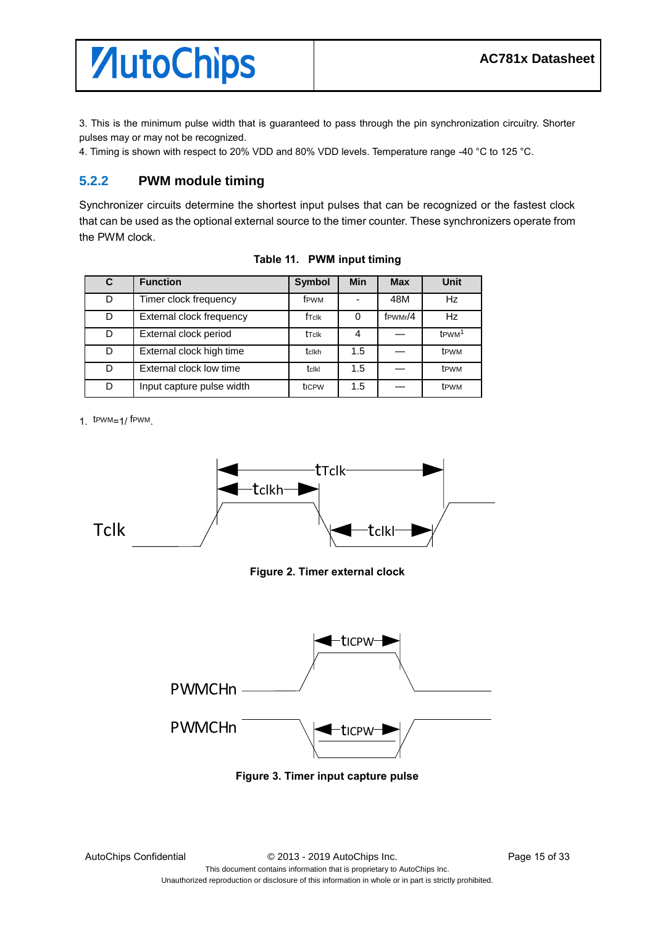3. This is the minimum pulse width that is guaranteed to pass through the pin synchronization circuitry. Shorter pulses may or may not be recognized.

4. Timing is shown with respect to 20% VDD and 80% VDD levels. Temperature range -40 °C to 125 °C.

#### <span id="page-14-0"></span>**5.2.2 PWM module timing**

Synchronizer circuits determine the shortest input pulses that can be recognized or the fastest clock that can be used as the optional external source to the timer counter. These synchronizers operate from the PWM clock.

| C | <b>Function</b><br><b>Symbol</b> |                   | <b>Min</b> | <b>Max</b>           | <b>Unit</b>        |
|---|----------------------------------|-------------------|------------|----------------------|--------------------|
| D | Timer clock frequency            | f <sub>PWM</sub>  |            | 48M                  | <b>Hz</b>          |
| D | External clock frequency         | f <sub>Tclk</sub> | 0          | f <sub>PWMr</sub> /4 | <b>Hz</b>          |
| D | External clock period            | tTclk             | 4          |                      | t <sub>PWM</sub> 1 |
| D | External clock high time         | tclkh             | 1.5        |                      | t <sub>PWM</sub>   |
| D | External clock low time          | tclkl             | 1.5        |                      | t <sub>PWM</sub>   |
| D | Input capture pulse width        | tic <sub>PW</sub> | 1.5        |                      | t <sub>PWM</sub>   |

**Table 11. PWM input timing**

1. tPWM=1/ fPWM.



**Figure 2. Timer external clock**



**Figure 3. Timer input capture pulse**

Unauthorized reproduction or disclosure of this information in whole or in part is strictly prohibited.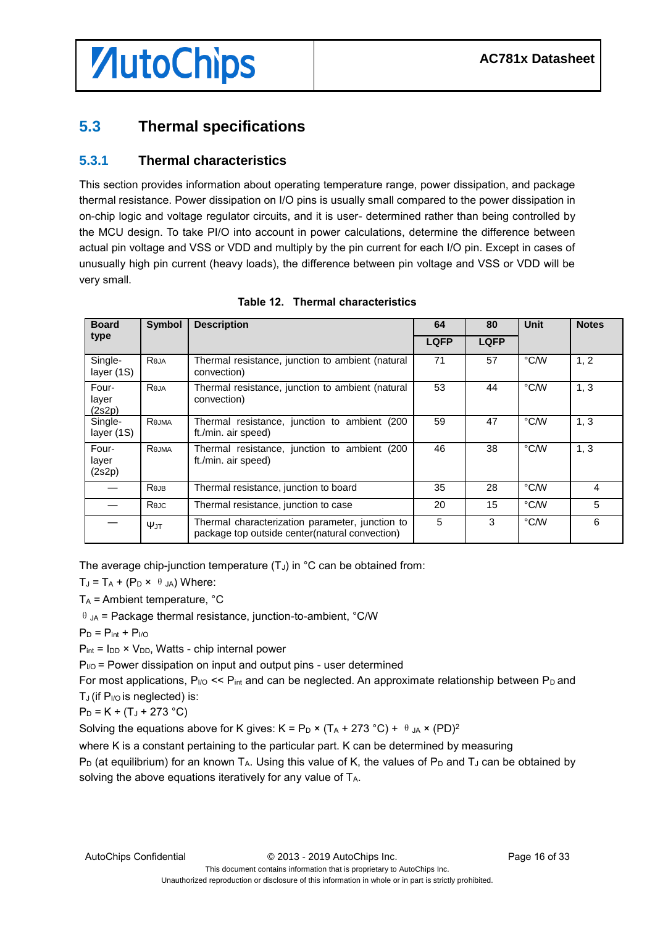# *AutoChips*

### <span id="page-15-0"></span>**5.3 Thermal specifications**

#### <span id="page-15-1"></span>**5.3.1 Thermal characteristics**

This section provides information about operating temperature range, power dissipation, and package thermal resistance. Power dissipation on I/O pins is usually small compared to the power dissipation in on-chip logic and voltage regulator circuits, and it is user- determined rather than being controlled by the MCU design. To take PI/O into account in power calculations, determine the difference between actual pin voltage and VSS or VDD and multiply by the pin current for each I/O pin. Except in cases of unusually high pin current (heavy loads), the difference between pin voltage and VSS or VDD will be very small.

| <b>Board</b>             | <b>Symbol</b> | <b>Description</b>                                                                                | 64          | 80          | <b>Unit</b> | <b>Notes</b> |
|--------------------------|---------------|---------------------------------------------------------------------------------------------------|-------------|-------------|-------------|--------------|
| type                     |               |                                                                                                   | <b>LQFP</b> | <b>LQFP</b> |             |              |
| Single-<br>layer (1S)    | Reja          | Thermal resistance, junction to ambient (natural<br>convection)                                   | 71          | 57          | °C/W        | 1, 2         |
| Four-<br>layer<br>(2s2p) | Reja          | Thermal resistance, junction to ambient (natural<br>convection)                                   | 53          | 44          | °C/W        | 1, 3         |
| Single-<br>layer (1S)    | Rejma         | Thermal resistance, junction to ambient (200<br>ft./min. air speed)                               | 59          | 47          | °C/W        | 1, 3         |
| Four-<br>layer<br>(2s2p) | Rejma         | Thermal resistance, junction to ambient (200<br>ft./min. air speed)                               | 46          | 38          | °C/W        | 1, 3         |
|                          | Rejb          | Thermal resistance, junction to board                                                             | 35          | 28          | °C/W        | 4            |
|                          | Rejc          | Thermal resistance, junction to case                                                              | 20          | 15          | °C/W        | 5            |
|                          | Ψл            | Thermal characterization parameter, junction to<br>package top outside center(natural convection) | 5           | 3           | °C/W        | 6            |

**Table 12. Thermal characteristics**

The average chip-junction temperature  $(T<sub>J</sub>)$  in  $°C$  can be obtained from:

 $T_J = T_A + (P_D \times \theta_{JA})$  Where:

 $T_A$  = Ambient temperature,  $°C$ 

 $\theta$  JA = Package thermal resistance, junction-to-ambient, °C/W

 $P_D = P_{int} + P_{I/O}$ 

 $P_{int} = I_{DD} \times V_{DD}$ , Watts - chip internal power

 $P_{UO}$  = Power dissipation on input and output pins - user determined

For most applications,  $P_{\text{NO}} \ll P_{\text{int}}$  and can be neglected. An approximate relationship between  $P_D$  and  $T_J$  (if  $P_{I/O}$  is neglected) is:

$$
P_D = K ÷ (T_J + 273 °C)
$$

Solving the equations above for K gives:  $K = P_D \times (T_A + 273 \degree C) + \Theta_{JA} \times (PD)^2$ 

where K is a constant pertaining to the particular part. K can be determined by measuring  $P_D$  (at equilibrium) for an known T<sub>A</sub>. Using this value of K, the values of  $P_D$  and T<sub>J</sub> can be obtained by

solving the above equations iteratively for any value of T<sub>A</sub>.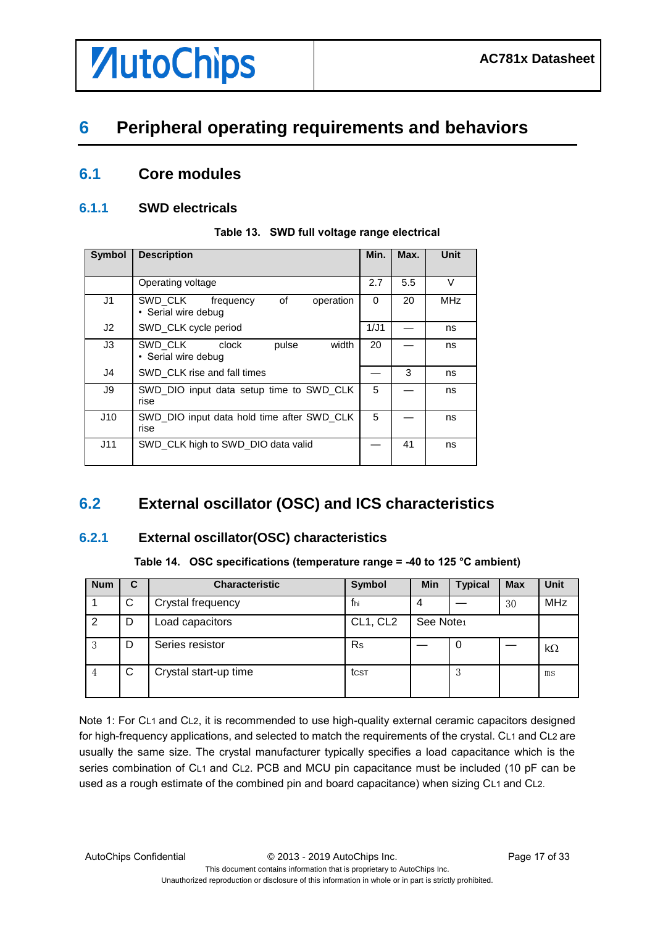# *AutoChips*

# <span id="page-16-0"></span>**6 Peripheral operating requirements and behaviors**

### <span id="page-16-1"></span>**6.1 Core modules**

#### <span id="page-16-2"></span>**6.1.1 SWD electricals**

| <b>Symbol</b>  | <b>Description</b>                                             | Min. | Max. | Unit       |
|----------------|----------------------------------------------------------------|------|------|------------|
|                | Operating voltage                                              | 2.7  | 5.5  | $\vee$     |
| J1             | SWD CLK<br>of<br>operation<br>frequency<br>• Serial wire debug | 0    | 20   | <b>MHz</b> |
| J <sub>2</sub> | SWD_CLK cycle period                                           | 1/J1 |      | ns         |
| J3             | SWD CLK clock<br>width<br>pulse<br>• Serial wire debug         | 20   |      | ns         |
| J4             | SWD_CLK rise and fall times                                    |      | 3    | ns         |
| J9             | SWD_DIO input data setup time to SWD_CLK<br>rise               | 5    |      | ns         |
| J10            | SWD DIO input data hold time after SWD CLK<br>rise             | 5    |      | ns         |
| J11            | SWD CLK high to SWD DIO data valid                             |      | 41   | ns         |

**Table 13. SWD full voltage range electrical**

## <span id="page-16-3"></span>**6.2 External oscillator (OSC) and ICS characteristics**

#### <span id="page-16-4"></span>**6.2.1 External oscillator(OSC) characteristics**

#### **Table 14. OSC specifications (temperature range = -40 to 125 °C ambient)**

| <b>Num</b> | С | <b>Characteristic</b> | Symbol   | <b>Min</b>            | <b>Typical</b> | <b>Max</b> | <b>Unit</b> |
|------------|---|-----------------------|----------|-----------------------|----------------|------------|-------------|
|            | C | Crystal frequency     | fhi      | 4                     |                | 30         | MHz         |
| 2          | D | Load capacitors       | CL1, CL2 | See Note <sub>1</sub> |                |            |             |
| 3          | D | Series resistor       | Rs       |                       | 0              |            | $k\Omega$   |
|            | C | Crystal start-up time | tcst     |                       | 3              |            | ms          |

Note 1: For CL1 and CL2, it is recommended to use high-quality external ceramic capacitors designed for high-frequency applications, and selected to match the requirements of the crystal. CL1 and CL2 are usually the same size. The crystal manufacturer typically specifies a load capacitance which is the series combination of CL1 and CL2. PCB and MCU pin capacitance must be included (10 pF can be used as a rough estimate of the combined pin and board capacitance) when sizing CL1 and CL2.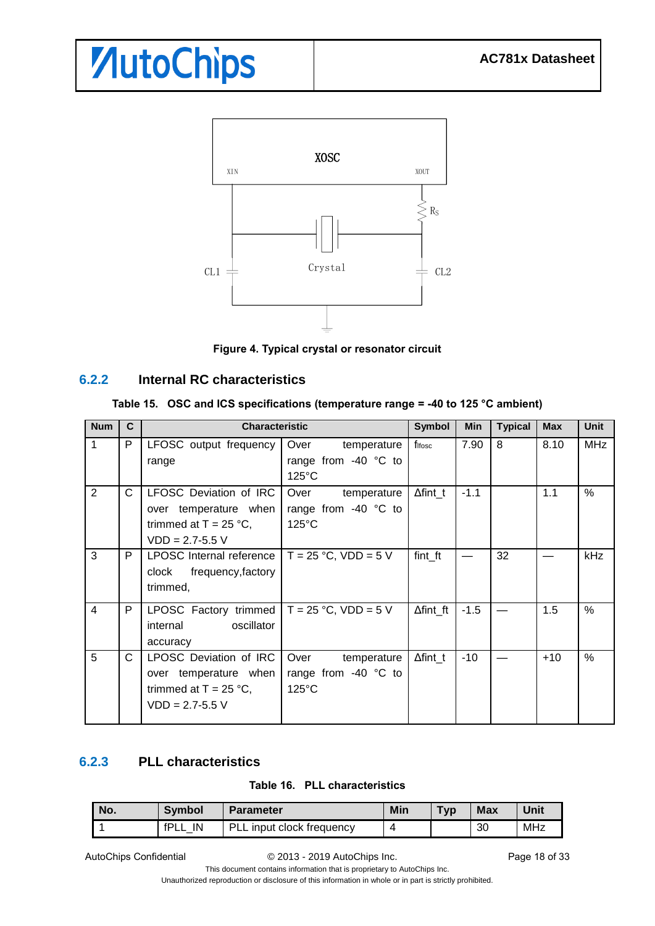

**Figure 4. Typical crystal or resonator circuit**

#### <span id="page-17-0"></span>**6.2.2 Internal RC characteristics**

| <b>Num</b>     | $\mathbf{C}$ | <b>Characteristic</b>                                                                                     |                                                                  | <b>Symbol</b>    | Min    | <b>Typical</b> | <b>Max</b> | <b>Unit</b> |
|----------------|--------------|-----------------------------------------------------------------------------------------------------------|------------------------------------------------------------------|------------------|--------|----------------|------------|-------------|
| 1              | P            | LFOSC output frequency<br>range                                                                           | Over<br>temperature<br>range from $-40$ °C to<br>$125^{\circ}$ C | fifosc           | 7.90   | 8              | 8.10       | <b>MHz</b>  |
| $\overline{2}$ | C            | <b>LFOSC Deviation of IRC</b><br>over temperature when<br>trimmed at $T = 25 °C$ ,<br>$VDD = 2.7 - 5.5 V$ | Over<br>temperature<br>range from -40 °C to<br>$125^{\circ}$ C   | $\Delta$ fint_t  | $-1.1$ |                | 1.1        | $\%$        |
| 3              | P            | LPOSC Internal reference $T = 25$ °C, VDD = 5 V<br>frequency,factory<br>clock<br>trimmed,                 |                                                                  | fint_ft          |        | 32             |            | kHz         |
| 4              | P            | LPOSC Factory trimmed $T = 25 °C$ , VDD = 5 V<br>oscillator<br>internal<br>accuracy                       |                                                                  | $\Delta$ fint ft | $-1.5$ |                | 1.5        | $\%$        |
| 5              | C            | <b>LPOSC Deviation of IRC</b><br>over temperature when<br>trimmed at $T = 25$ °C,<br>$VDD = 2.7 - 5.5 V$  | Over<br>temperature<br>range from $-40$ °C to<br>$125^{\circ}$ C | $\Delta$ fint t  | $-10$  |                | $+10$      | $\%$        |

#### <span id="page-17-1"></span>**6.2.3 PLL characteristics**

#### **Table 16. PLL characteristics**

| No. | <b>Symbol</b> | <b>Parameter</b>          | Min | Typ | <b>Max</b> | Unit       |
|-----|---------------|---------------------------|-----|-----|------------|------------|
|     | IN<br>fPL     | PLL input clock frequency |     |     | 30         | <b>MHz</b> |

AutoChips Confidential  $\oslash$  2013 - 2019 AutoChips Inc. Page 18 of 33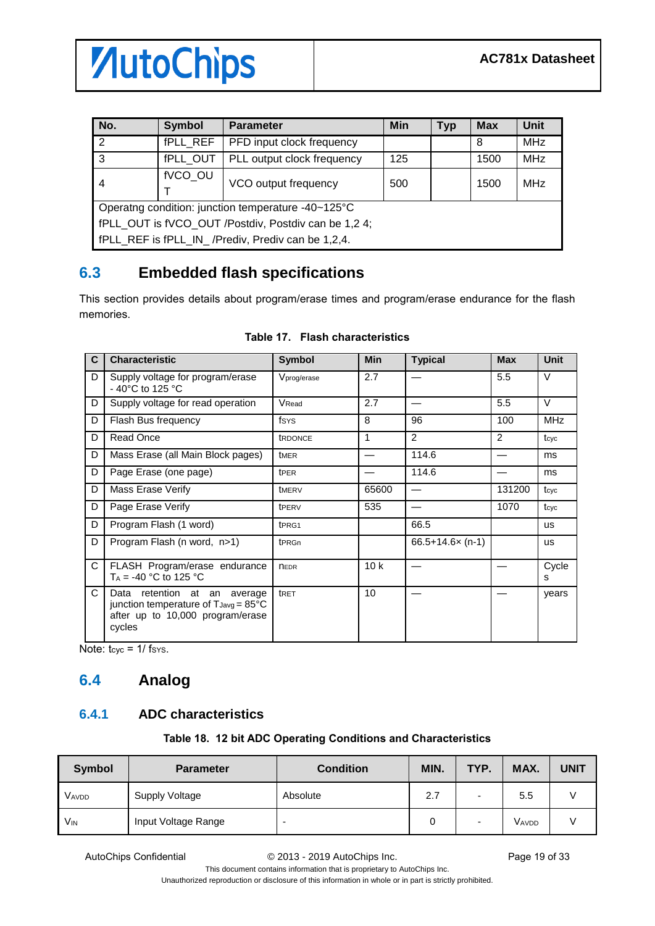

| No.                                                  | <b>Symbol</b> | <b>Parameter</b>                                   | <b>Min</b> | <b>Typ</b> | <b>Max</b> | Unit       |
|------------------------------------------------------|---------------|----------------------------------------------------|------------|------------|------------|------------|
| $\mathcal{P}$                                        | fPLL REF      | PFD input clock frequency                          |            |            | 8          | <b>MHz</b> |
| 3                                                    | fPLL OUT      | PLL output clock frequency                         | 125        |            | 1500       | <b>MHz</b> |
| 4                                                    | fVCO_OU       | VCO output frequency                               | 500        |            | 1500       | MHz        |
|                                                      |               | Operatng condition: junction temperature -40~125°C |            |            |            |            |
| fPLL OUT is fVCO OUT /Postdiv, Postdiv can be 1,2 4; |               |                                                    |            |            |            |            |
|                                                      |               | fPLL REF is fPLL IN / Prediv, Prediv can be 1,2,4. |            |            |            |            |

### <span id="page-18-0"></span>**6.3 Embedded flash specifications**

This section provides details about program/erase times and program/erase endurance for the flash memories.

| C  | <b>Characteristic</b>                                                                                                                 | <b>Symbol</b>     | <b>Min</b> | <b>Typical</b>    | <b>Max</b> | Unit       |
|----|---------------------------------------------------------------------------------------------------------------------------------------|-------------------|------------|-------------------|------------|------------|
| D  | Supply voltage for program/erase<br>- 40 $^{\circ}$ C to 125 $^{\circ}$ C                                                             | Vprog/erase       | 2.7        |                   | 5.5        | $\vee$     |
| D  | Supply voltage for read operation                                                                                                     | VRead             | 2.7        |                   | 5.5        | $\vee$     |
| D  | Flash Bus frequency                                                                                                                   | fsys              | 8          | 96                | 100        | <b>MHz</b> |
| D  | Read Once                                                                                                                             | <b>tRDONCE</b>    | 1          | 2                 | 2          | tcyc       |
| D  | Mass Erase (all Main Block pages)                                                                                                     | t <sub>MER</sub>  |            | 114.6             |            | ms         |
| D  | Page Erase (one page)                                                                                                                 | t <sub>PER</sub>  |            | 114.6             |            | ms         |
| D  | Mass Erase Verify                                                                                                                     | tMERV             | 65600      |                   | 131200     | tcyc       |
| D  | Page Erase Verify                                                                                                                     | tPERV             | 535        |                   | 1070       | tcyc       |
| D  | Program Flash (1 word)                                                                                                                | t <sub>PRG1</sub> |            | 66.5              |            | <b>us</b>  |
| D  | Program Flash (n word, n>1)                                                                                                           | t <sub>PRGn</sub> |            | $66.5+14.6x(n-1)$ |            | <b>us</b>  |
| C  | FLASH Program/erase endurance<br>$T_A = -40$ °C to 125 °C                                                                             | <b>NEDR</b>       | 10k        |                   |            | Cycle<br>s |
| C. | Data retention at an average<br>junction temperature of $T_{\text{Javg}} = 85^{\circ}C$<br>after up to 10,000 program/erase<br>cycles | tRET              | 10         |                   |            | years      |

#### **Table 17. Flash characteristics**

Note:  $t_{\text{cyc}} = 1/\text{fsys}$ .

### <span id="page-18-1"></span>**6.4 Analog**

#### <span id="page-18-2"></span>**6.4.1 ADC characteristics**

#### **Table 18. 12 bit ADC Operating Conditions and Characteristics**

| <b>Symbol</b>         | <b>Parameter</b>    | <b>Condition</b>         | MIN. | TYP.                     | MAX.  | <b>UNIT</b> |
|-----------------------|---------------------|--------------------------|------|--------------------------|-------|-------------|
| Vavdd                 | Supply Voltage      | Absolute                 | 2.7  | $\overline{\phantom{0}}$ | 5.5   |             |
| <b>V<sub>IN</sub></b> | Input Voltage Range | $\overline{\phantom{0}}$ |      | $\overline{\phantom{a}}$ | VAVDD |             |

AutoChips Confidential  $\degree$  2013 - 2019 AutoChips Inc. Page 19 of 33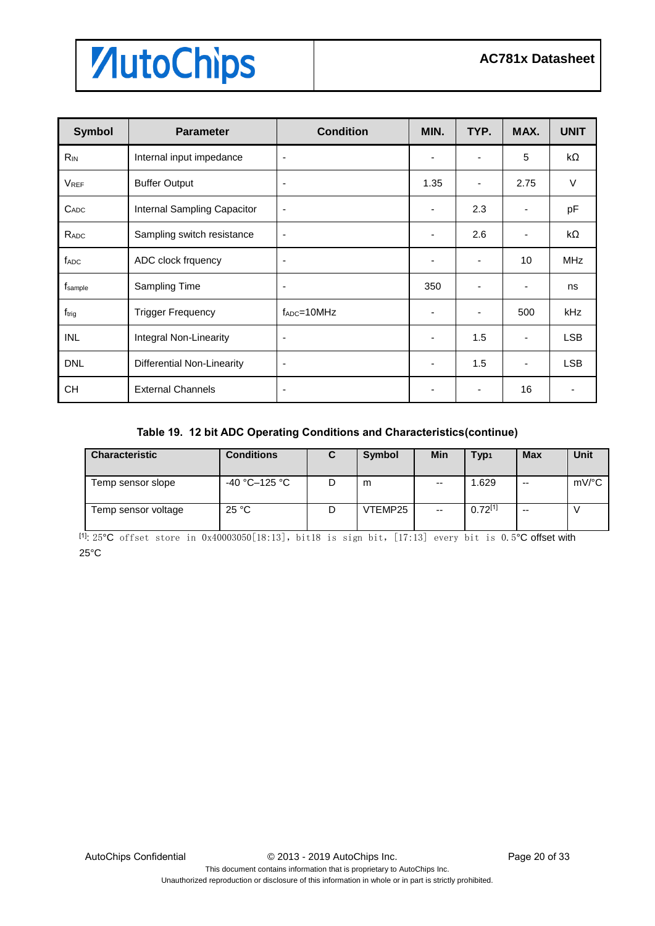| <b>Symbol</b>     | <b>Parameter</b>                  | <b>Condition</b>   | MIN. | TYP.                     | MAX. | <b>UNIT</b> |
|-------------------|-----------------------------------|--------------------|------|--------------------------|------|-------------|
| $R_{IN}$          | Internal input impedance          | ٠                  |      | ٠                        | 5    | $k\Omega$   |
| <b>VREF</b>       | <b>Buffer Output</b>              | ٠                  | 1.35 | $\overline{\phantom{a}}$ | 2.75 | $\vee$      |
| $C_{ADC}$         | Internal Sampling Capacitor       | ٠                  |      | 2.3                      |      | pF          |
| RADC              | Sampling switch resistance        | ٠                  |      | 2.6                      |      | kΩ          |
| f <sub>ADC</sub>  | ADC clock frquency                | ٠                  |      | $\overline{\phantom{a}}$ | 10   | <b>MHz</b>  |
| fsample           | Sampling Time                     | ٠                  | 350  | ٠                        | -    | ns          |
| f <sub>trig</sub> | <b>Trigger Frequency</b>          | $f_{ADC} = 10 MHz$ |      | $\overline{\phantom{a}}$ | 500  | kHz         |
| <b>INL</b>        | Integral Non-Linearity            | ٠                  |      | 1.5                      |      | <b>LSB</b>  |
| <b>DNL</b>        | <b>Differential Non-Linearity</b> | ٠                  | ٠    | 1.5                      |      | <b>LSB</b>  |
| <b>CH</b>         | <b>External Channels</b>          | ٠                  |      | ٠                        | 16   | ٠           |

#### **Table 19. 12 bit ADC Operating Conditions and Characteristics(continue)**

| <b>Characteristic</b> | Conditions    |   | Symbol  | Min                      | Typ <sub>1</sub> | <b>Max</b> | Unit                |
|-----------------------|---------------|---|---------|--------------------------|------------------|------------|---------------------|
| Temp sensor slope     | -40 °C–125 °C | D | m       | $\overline{\phantom{m}}$ | 1.629            | --         | $mV$ <sup>o</sup> C |
| Temp sensor voltage   | 25 °C         | D | VTEMP25 | $\overline{\phantom{a}}$ | $0.72^{[1]}$     | --         |                     |

 $[11:25^{\circ}\text{C}$  offset store in 0x40003050[18:13], bit18 is sign bit, [17:13] every bit is 0.5°C offset with 25°C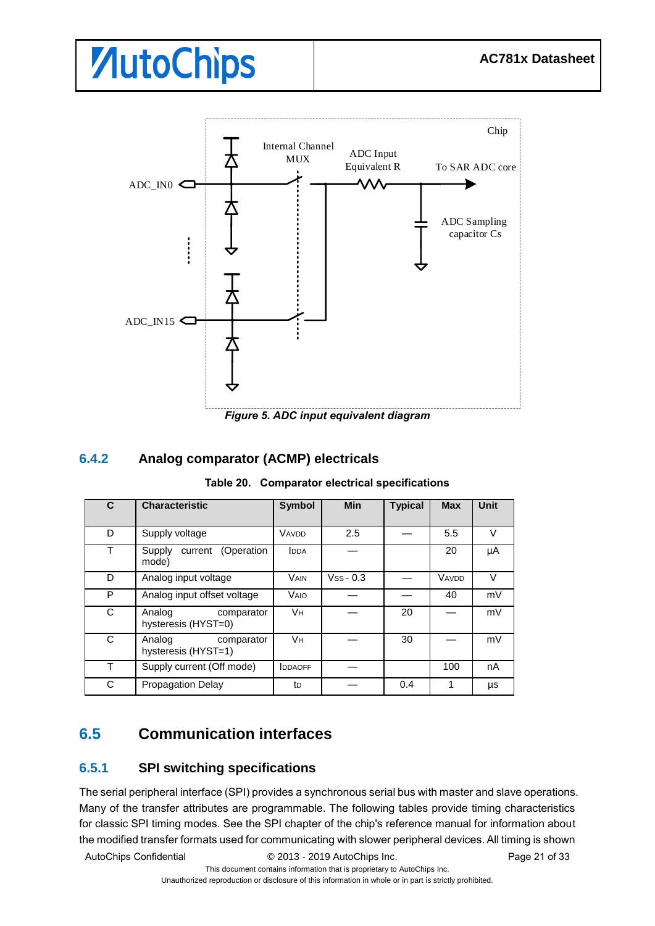

*Figure 5. ADC input equivalent diagram*

#### <span id="page-20-0"></span>**6.4.2 Analog comparator (ACMP) electricals**

|  |  |  | Table 20. Comparator electrical specifications |
|--|--|--|------------------------------------------------|
|--|--|--|------------------------------------------------|

| C | <b>Characteristic</b>                       | <b>Symbol</b>  | <b>Min</b>  | <b>Typical</b> | <b>Max</b> | <b>Unit</b> |
|---|---------------------------------------------|----------------|-------------|----------------|------------|-------------|
| D | Supply voltage                              | VAVDD          | 2.5         |                | 5.5        | v           |
| Т | current (Operation<br>Supply<br>mode)       | <b>IDDA</b>    |             |                | 20         | μA          |
| D | Analog input voltage                        | <b>VAIN</b>    | $Vss - 0.3$ |                | VAVDD      | $\vee$      |
| P | Analog input offset voltage                 | <b>VAIO</b>    |             |                | 40         | mV          |
| C | Analog<br>comparator<br>hysteresis (HYST=0) | Vн             |             | 20             |            | mV          |
| C | Analog<br>comparator<br>hysteresis (HYST=1) | <b>Vн</b>      |             | 30             |            | mV          |
| т | Supply current (Off mode)                   | <b>IDDAOFF</b> |             |                | 100        | nA          |
| C | <b>Propagation Delay</b>                    | tD             |             | 0.4            | 1          | μs          |

### <span id="page-20-1"></span>**6.5 Communication interfaces**

#### <span id="page-20-2"></span>**6.5.1 SPI switching specifications**

The serial peripheral interface (SPI) provides a synchronous serial bus with master and slave operations. Many of the transfer attributes are programmable. The following tables provide timing characteristics for classic SPI timing modes. See the SPI chapter of the chip's reference manual for information about the modified transfer formats used for communicating with slower peripheral devices. All timing is shown

AutoChips Confidential © 2013 - 2019 AutoChips Inc. Page 21 of 33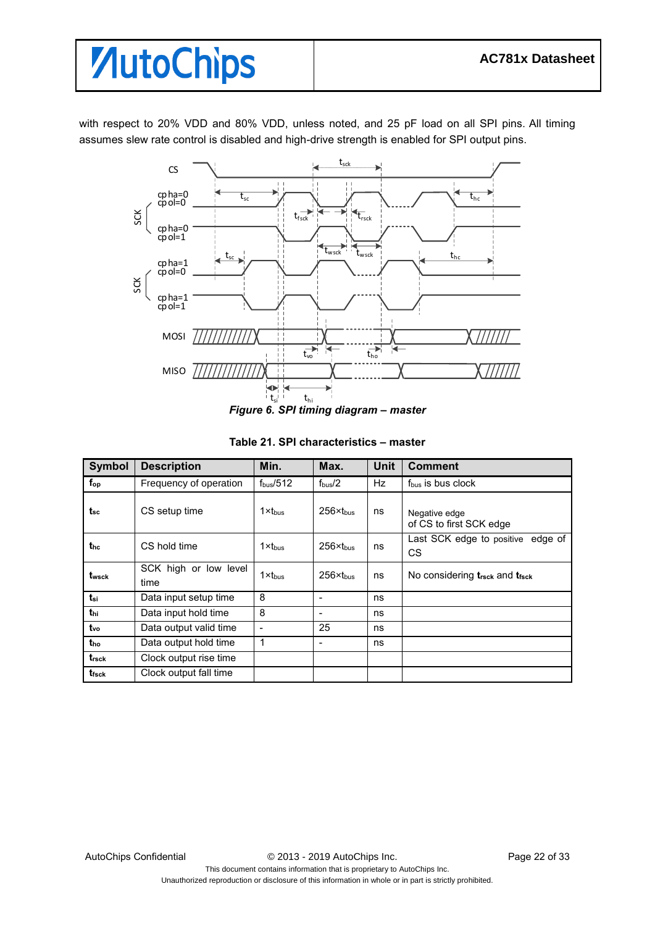with respect to 20% VDD and 80% VDD, unless noted, and 25 pF load on all SPI pins. All timing assumes slew rate control is disabled and high-drive strength is enabled for SPI output pins.



*Figure 6. SPI timing diagram – master*

| Symbol            | <b>Description</b>            | Min.               | Max.                 | <b>Unit</b> | <b>Comment</b>                           |
|-------------------|-------------------------------|--------------------|----------------------|-------------|------------------------------------------|
| $f_{op}$          | Frequency of operation        | $f_{bus}/512$      | $f_{\text{bus}}/2$   | <b>Hz</b>   | f <sub>bus</sub> is bus clock            |
| tsc               | CS setup time                 | 1xt <sub>hus</sub> | $256 \times$ thus    | ns          | Negative edge<br>of CS to first SCK edge |
| the               | CS hold time                  | $1x$ thus          | $256x$ thus          | ns          | Last SCK edge to positive edge of<br>CS  |
| t <sub>wsck</sub> | SCK high or low level<br>time | $1 \times t_{bus}$ | $256 \times t_{bus}$ | ns          | No considering trsck and trsck           |
| $t_{si}$          | Data input setup time         | 8                  | ۰                    | ns          |                                          |
| thi               | Data input hold time          | 8                  | -                    | ns          |                                          |
| $t_{\rm vo}$      | Data output valid time        |                    | 25                   | ns          |                                          |
| tho               | Data output hold time         | 1                  | -                    | ns          |                                          |
| $t_{\rm{rsck}}$   | Clock output rise time        |                    |                      |             |                                          |
| t <sub>fsck</sub> | Clock output fall time        |                    |                      |             |                                          |

#### **Table 21. SPI characteristics – master**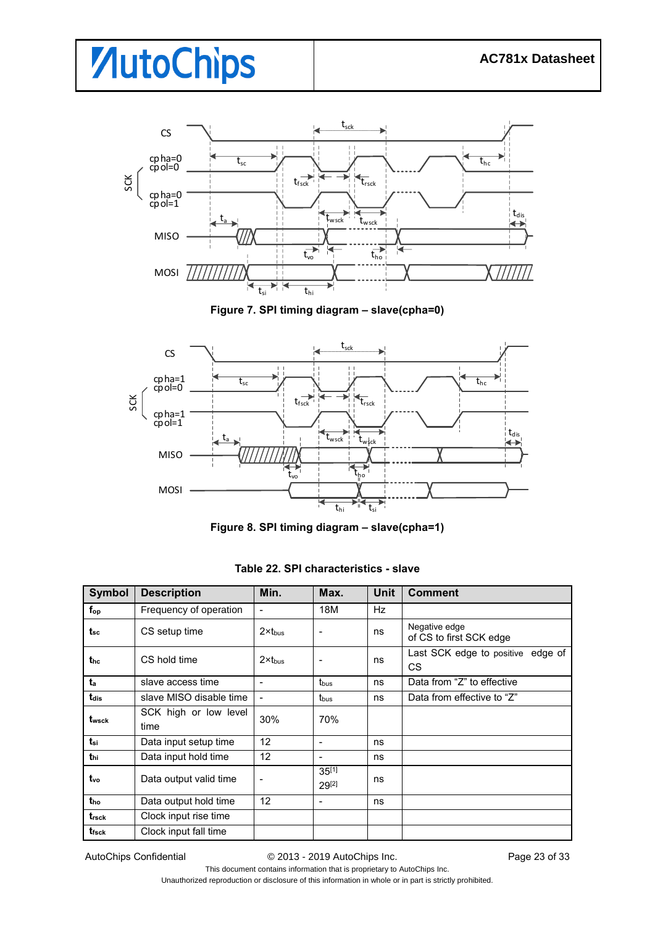

**Figure 7. SPI timing diagram – slave(cpha=0)**



**Figure 8. SPI timing diagram – slave(cpha=1)**

| <b>Symbol</b>     | <b>Description</b>            | Min.               | Max.                     | <b>Unit</b> | <b>Comment</b>                                 |
|-------------------|-------------------------------|--------------------|--------------------------|-------------|------------------------------------------------|
| $f_{op}$          | Frequency of operation        |                    | 18M                      | Hz          |                                                |
| t <sub>sc</sub>   | CS setup time                 | $2x$ thus          |                          | ns          | Negative edge<br>of CS to first SCK edge       |
| thc               | CS hold time                  | $2 \times t_{bus}$ |                          | ns          | Last SCK edge to positive edge of<br><b>CS</b> |
| ta                | slave access time             |                    | t <sub>bus</sub>         | ns          | Data from "Z" to effective                     |
| tdis              | slave MISO disable time       |                    | t <sub>bus</sub>         | ns          | Data from effective to "Z"                     |
| twsck             | SCK high or low level<br>time | 30%                | 70%                      |             |                                                |
| tsi               | Data input setup time         | 12                 | $\overline{\phantom{0}}$ | ns          |                                                |
| t <sub>hi</sub>   | Data input hold time          | 12 <sup>2</sup>    | $\overline{\phantom{a}}$ | ns          |                                                |
| t <sub>vo</sub>   | Data output valid time        |                    | $35^{[1]}$<br>$29^{[2]}$ | ns          |                                                |
| t <sub>ho</sub>   | Data output hold time         | 12 <sup>2</sup>    | $\overline{\phantom{a}}$ | ns          |                                                |
| t <sub>rsck</sub> | Clock input rise time         |                    |                          |             |                                                |
| t <sub>fsck</sub> | Clock input fall time         |                    |                          |             |                                                |

**Table 22. SPI characteristics - slave**

AutoChips Confidential  $\oslash$  2013 - 2019 AutoChips Inc. Page 23 of 33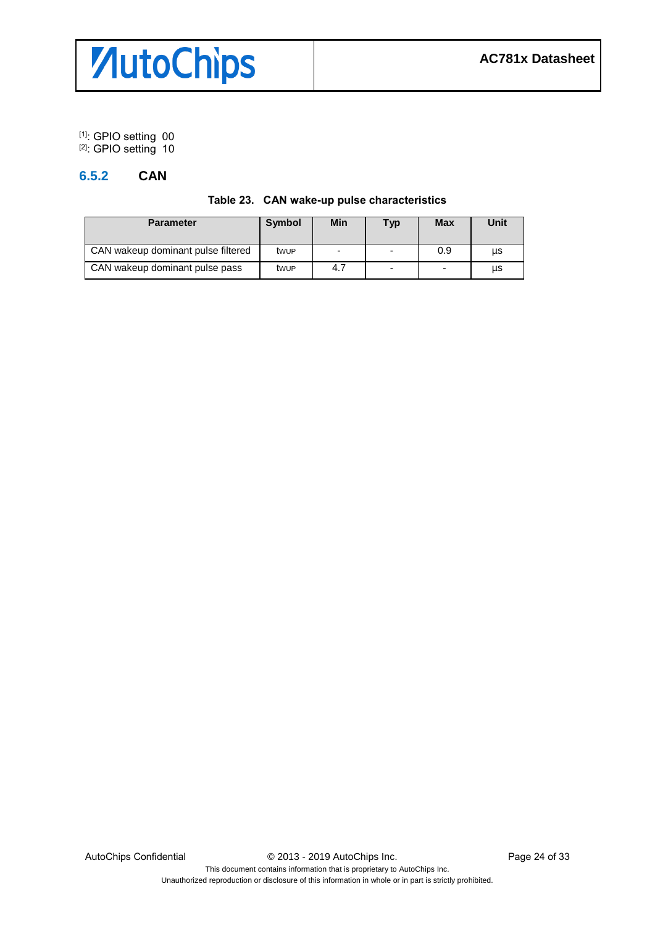

[1]: GPIO setting 00 [2]: GPIO setting 10

#### <span id="page-23-0"></span>**6.5.2 CAN**

|  | Table 23. CAN wake-up pulse characteristics |  |
|--|---------------------------------------------|--|
|--|---------------------------------------------|--|

| <b>Parameter</b>                   | <b>Symbol</b> | Min                      | <b>Typ</b>     | <b>Max</b> | Unit |
|------------------------------------|---------------|--------------------------|----------------|------------|------|
| CAN wakeup dominant pulse filtered | twup          | $\overline{\phantom{0}}$ | $\overline{a}$ | 0.9        | μs   |
| CAN wakeup dominant pulse pass     | twup          | 4.7                      | $\overline{a}$ | -          | μs   |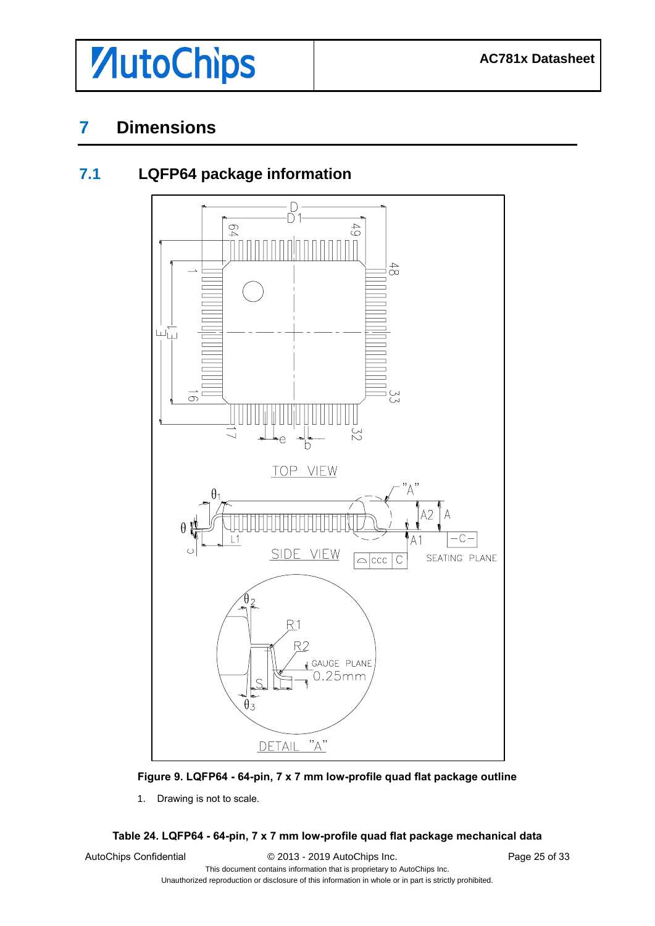

<span id="page-24-1"></span>**7.1 LQFP64 package information**

## <span id="page-24-0"></span>**7 Dimensions**

# $\Box$ ∩  $6<sup>4</sup>$  $64$  $\begin{array}{c} 4 \ 2 \ 1 \end{array}$ யப்  $\infty$



#### **Figure 9. LQFP64 - 64-pin, 7 x 7 mm low-profile quad flat package outline**

1. Drawing is not to scale.

#### **Table 24. LQFP64 - 64-pin, 7 x 7 mm low-profile quad flat package mechanical data**

AutoChips Confidential  $\degree$  2013 - 2019 AutoChips Inc. Page 25 of 33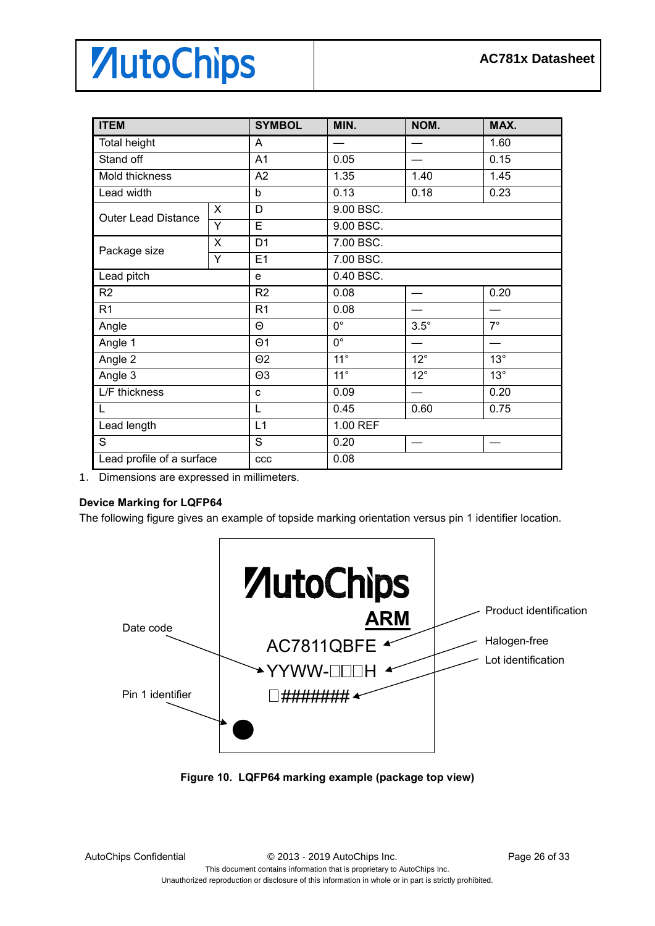| <b>ITEM</b>                |                | <b>SYMBOL</b>  | MIN.                   | NOM.              | MAX.       |  |  |
|----------------------------|----------------|----------------|------------------------|-------------------|------------|--|--|
| <b>Total height</b>        |                | A              |                        |                   | 1.60       |  |  |
| Stand off                  |                | A1             | 0.05                   |                   | 0.15       |  |  |
| Mold thickness             |                | A2             | 1.35                   | 1.40              | 1.45       |  |  |
| Lead width                 |                | b              | 0.13                   | 0.18              | 0.23       |  |  |
| <b>Outer Lead Distance</b> | X              | D              | 9.00 BSC.              |                   |            |  |  |
|                            | Y              | E              | 9.00 BSC.              |                   |            |  |  |
|                            | X              | D <sub>1</sub> | 7.00 BSC.              |                   |            |  |  |
| Package size               | $\overline{Y}$ | E1             | 7.00 BSC.              |                   |            |  |  |
| Lead pitch                 |                | e              | 0.40 BSC.              |                   |            |  |  |
| R <sub>2</sub>             |                |                | 0.08                   |                   | 0.20       |  |  |
| R <sub>1</sub>             |                | R <sub>1</sub> | 0.08                   |                   |            |  |  |
| Angle                      |                | Θ              | $0^{\circ}$            | $3.5^\circ$       | $7^\circ$  |  |  |
| Angle 1                    |                | $\Theta$ 1     | $\overline{0^{\circ}}$ |                   |            |  |  |
| Angle 2                    |                | $\Theta$ 2     | $11^{\circ}$           | $12^\circ$        | $13^\circ$ |  |  |
| Angle 3                    |                | $\Theta$ 3     | $11^{\circ}$           | $12^{\circ}$      | $13^\circ$ |  |  |
| L/F thickness              |                | C              | 0.09                   |                   | 0.20       |  |  |
| L                          |                | L              | 0.45                   | 0.60              | 0.75       |  |  |
| Lead length                |                | L1             | 1.00 REF               |                   |            |  |  |
| S                          |                | S              | 0.20                   | $\hspace{0.05cm}$ |            |  |  |
| Lead profile of a surface  |                | ccc            | 0.08                   |                   |            |  |  |

1. Dimensions are expressed in millimeters.

#### **Device Marking for LQFP64**

The following figure gives an example of topside marking orientation versus pin 1 identifier location.



**Figure 10. LQFP64 marking example (package top view)**

Unauthorized reproduction or disclosure of this information in whole or in part is strictly prohibited.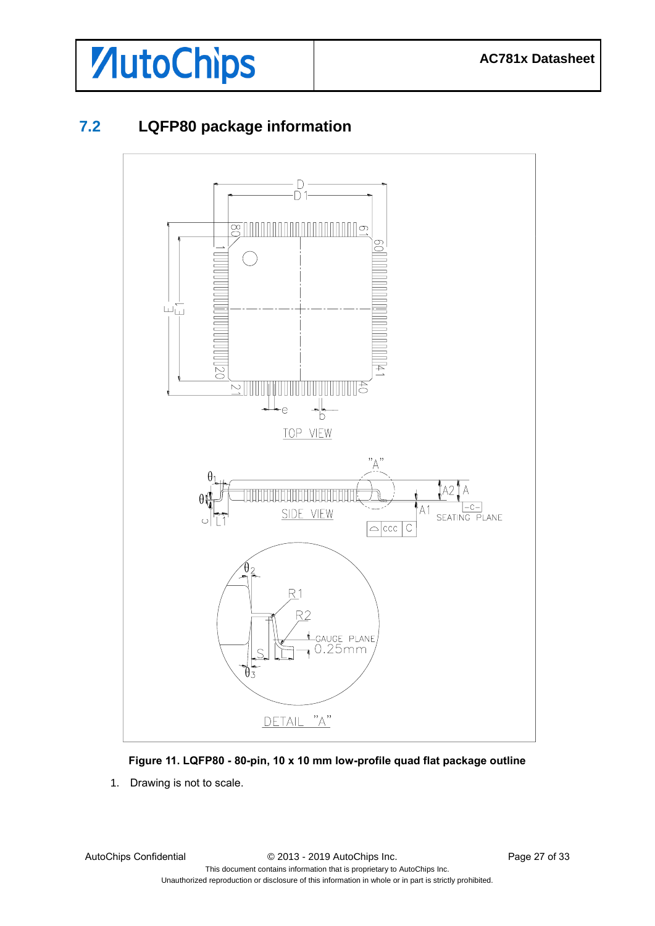

### <span id="page-26-0"></span>**7.2 LQFP80 package information**



#### **Figure 11. LQFP80 - 80-pin, 10 x 10 mm low-profile quad flat package outline**

1. Drawing is not to scale.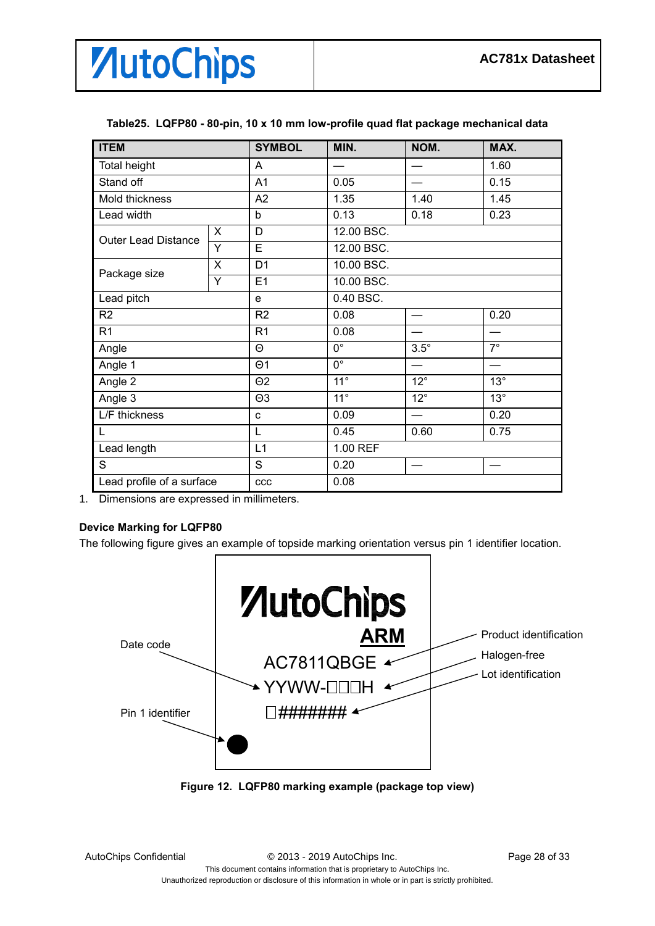

| <b>ITEM</b>                |                                      | <b>SYMBOL</b>  | MIN.         | NOM.         | MAX.       |  |  |
|----------------------------|--------------------------------------|----------------|--------------|--------------|------------|--|--|
| <b>Total height</b>        |                                      | A              |              |              | 1.60       |  |  |
| Stand off                  |                                      | A1             | 0.05         |              | 0.15       |  |  |
| Mold thickness             |                                      | A2             | 1.35         | 1.40         | 1.45       |  |  |
| Lead width                 |                                      | b              | 0.13         | 0.18         | 0.23       |  |  |
| <b>Outer Lead Distance</b> | X                                    | D              | 12.00 BSC.   |              |            |  |  |
|                            | Y                                    | E              | 12.00 BSC.   |              |            |  |  |
| Package size               | X                                    | D <sub>1</sub> | 10.00 BSC.   |              |            |  |  |
|                            | Y                                    | E1             | 10.00 BSC.   |              |            |  |  |
| Lead pitch                 |                                      | e              | 0.40 BSC.    |              |            |  |  |
| R <sub>2</sub>             |                                      | R <sub>2</sub> | 0.08         |              | 0.20       |  |  |
| R <sub>1</sub>             |                                      | R <sub>1</sub> | 0.08         |              |            |  |  |
| Angle                      |                                      |                | $0^{\circ}$  | $3.5^\circ$  | $7^\circ$  |  |  |
| Angle 1                    | $\overline{0^{\circ}}$<br>$\Theta$ 1 |                |              |              |            |  |  |
| Angle 2                    |                                      | $\Theta$ 2     | $11^{\circ}$ | $12^{\circ}$ | $13^\circ$ |  |  |
| Angle 3                    |                                      | $\Theta$ 3     | $11^{\circ}$ | $12^{\circ}$ | $13^\circ$ |  |  |
| L/F thickness              |                                      | c              | 0.09         |              | 0.20       |  |  |
|                            |                                      | L              | 0.45         | 0.60         | 0.75       |  |  |
| Lead length                |                                      | L1             | 1.00 REF     |              |            |  |  |
| S                          |                                      | S              | 0.20         |              |            |  |  |
| Lead profile of a surface  |                                      | ccc            | 0.08         |              |            |  |  |

#### **Table25. LQFP80 - 80-pin, 10 x 10 mm low-profile quad flat package mechanical data**

1. Dimensions are expressed in millimeters.

#### **Device Marking for LQFP80**

The following figure gives an example of topside marking orientation versus pin 1 identifier location.



**Figure 12. LQFP80 marking example (package top view)**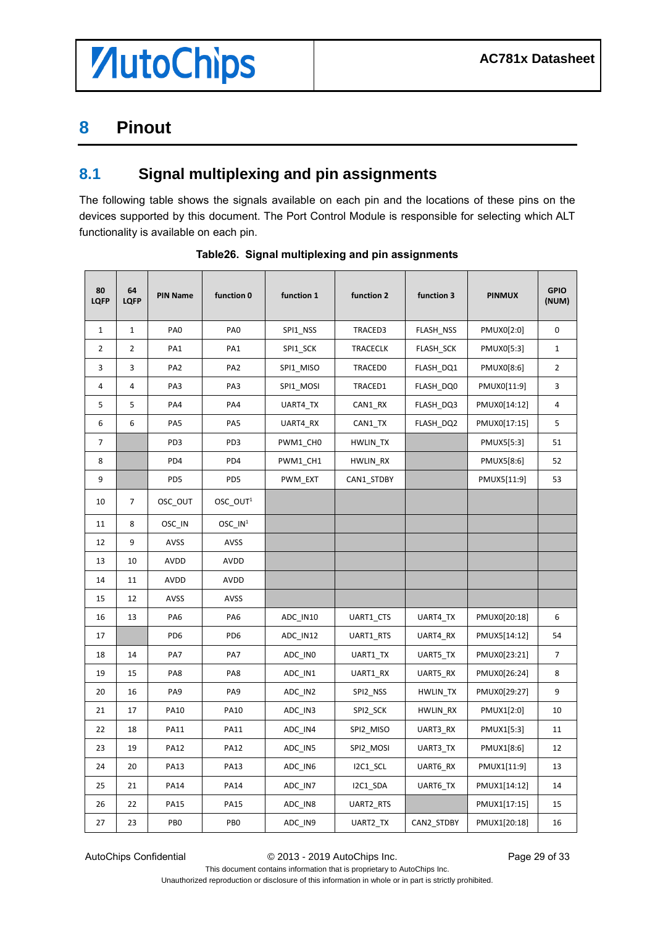### <span id="page-28-0"></span>**Pinout**

### <span id="page-28-1"></span>**8.1 Signal multiplexing and pin assignments**

The following table shows the signals available on each pin and the locations of these pins on the devices supported by this document. The Port Control Module is responsible for selecting which ALT functionality is available on each pin.

| 80<br><b>LQFP</b> | 64<br><b>LQFP</b> | <b>PIN Name</b> | function 0           | function 1 | function 2      | function 3 | <b>PINMUX</b> | <b>GPIO</b><br>(NUM) |
|-------------------|-------------------|-----------------|----------------------|------------|-----------------|------------|---------------|----------------------|
| $\mathbf{1}$      | $\mathbf{1}$      | PA <sub>0</sub> | PA <sub>0</sub>      | SPI1_NSS   | TRACED3         | FLASH_NSS  | PMUX0[2:0]    | $\bf{0}$             |
| $\overline{2}$    | 2                 | PA1             | PA1                  | SPI1_SCK   | <b>TRACECLK</b> | FLASH_SCK  | PMUX0[5:3]    | $\mathbf{1}$         |
| 3                 | 3                 | PA <sub>2</sub> | PA <sub>2</sub>      | SPI1_MISO  | <b>TRACED0</b>  | FLASH_DQ1  | PMUX0[8:6]    | $\overline{2}$       |
| 4                 | 4                 | PA3             | PA3                  | SPI1_MOSI  | TRACED1         | FLASH_DQ0  | PMUX0[11:9]   | 3                    |
| 5                 | 5                 | PA4             | PA4                  | UART4_TX   | CAN1_RX         | FLASH_DQ3  | PMUX0[14:12]  | 4                    |
| 6                 | 6                 | PA5             | PA5                  | UART4_RX   | CAN1_TX         | FLASH_DQ2  | PMUX0[17:15]  | 5                    |
| 7                 |                   | PD3             | PD3                  | PWM1_CH0   | HWLIN_TX        |            | PMUX5[5:3]    | 51                   |
| 8                 |                   | PD4             | PD4                  | PWM1_CH1   | HWLIN_RX        |            | PMUX5[8:6]    | 52                   |
| 9                 |                   | PD <sub>5</sub> | PD <sub>5</sub>      | PWM EXT    | CAN1_STDBY      |            | PMUX5[11:9]   | 53                   |
| 10                | 7                 | OSC_OUT         | OSC_OUT <sup>1</sup> |            |                 |            |               |                      |
| 11                | 8                 | OSC_IN          | OSC_IN <sup>1</sup>  |            |                 |            |               |                      |
| 12                | 9                 | AVSS            | AVSS                 |            |                 |            |               |                      |
| 13                | 10                | <b>AVDD</b>     | AVDD                 |            |                 |            |               |                      |
| 14                | 11                | AVDD            | AVDD                 |            |                 |            |               |                      |
| 15                | 12                | AVSS            | AVSS                 |            |                 |            |               |                      |
| 16                | 13                | PA6             | PA6                  | ADC_IN10   | UART1_CTS       | UART4_TX   | PMUX0[20:18]  | 6                    |
| 17                |                   | PD <sub>6</sub> | PD <sub>6</sub>      | ADC_IN12   | UART1_RTS       | UART4_RX   | PMUX5[14:12]  | 54                   |
| 18                | 14                | PA7             | PA7                  | ADC_IN0    | UART1_TX        | UART5_TX   | PMUX0[23:21]  | 7                    |
| 19                | 15                | PA8             | PA8                  | ADC_IN1    | UART1_RX        | UART5_RX   | PMUX0[26:24]  | 8                    |
| 20                | 16                | PA <sub>9</sub> | PA9                  | ADC_IN2    | SPI2_NSS        | HWLIN_TX   | PMUX0[29:27]  | 9                    |
| 21                | 17                | PA10            | <b>PA10</b>          | ADC_IN3    | SPI2_SCK        | HWLIN_RX   | PMUX1[2:0]    | 10                   |
| 22                | 18                | PA11            | <b>PA11</b>          | ADC_IN4    | SPI2_MISO       | UART3_RX   | PMUX1[5:3]    | 11                   |
| 23                | 19                | <b>PA12</b>     | <b>PA12</b>          | ADC_IN5    | SPI2_MOSI       | UART3_TX   | PMUX1[8:6]    | 12                   |
| 24                | 20                | PA13            | <b>PA13</b>          | ADC_IN6    | I2C1_SCL        | UART6_RX   | PMUX1[11:9]   | 13                   |
| 25                | 21                | <b>PA14</b>     | <b>PA14</b>          | ADC_IN7    | I2C1_SDA        | UART6_TX   | PMUX1[14:12]  | 14                   |
| 26                | 22                | <b>PA15</b>     | <b>PA15</b>          | ADC_IN8    | UART2_RTS       |            | PMUX1[17:15]  | 15                   |
| 27                | 23                | PB <sub>0</sub> | PB <sub>0</sub>      | ADC_IN9    | UART2_TX        | CAN2_STDBY | PMUX1[20:18]  | 16                   |

**Table26. Signal multiplexing and pin assignments**

AutoChips Confidential © 2013 - 2019 AutoChips Inc. Page 29 of 33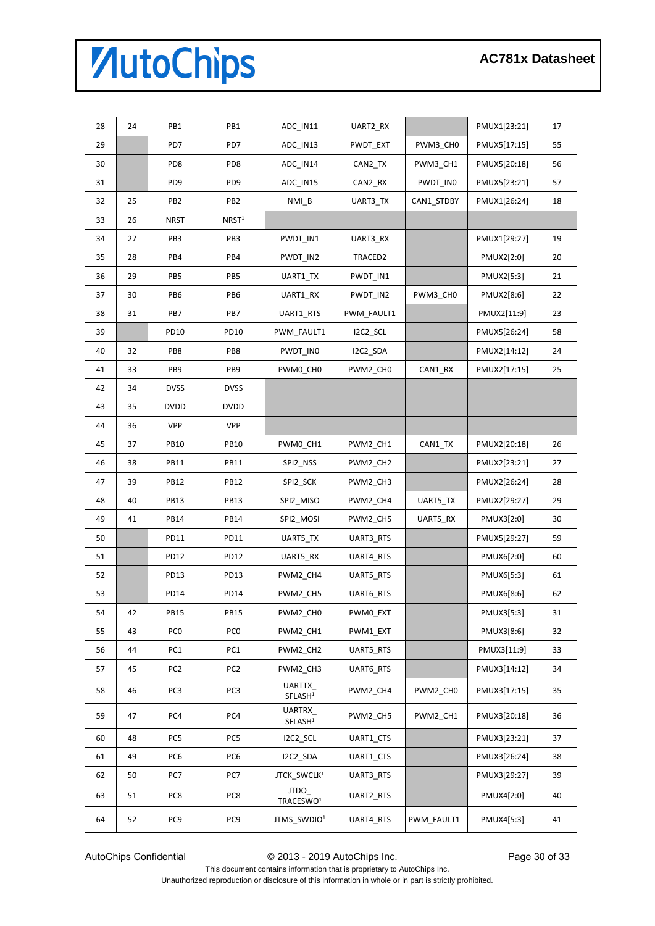| 28 | 24 | PB1              | PB1                | ADC_IN11                             | UART2_RX   |            | PMUX1[23:21] | 17 |
|----|----|------------------|--------------------|--------------------------------------|------------|------------|--------------|----|
| 29 |    | PD7              | PD7                | ADC_IN13                             | PWDT_EXT   | PWM3_CH0   | PMUX5[17:15] | 55 |
| 30 |    | PD8              | PD8                | ADC_IN14                             | CAN2_TX    | PWM3_CH1   | PMUX5[20:18] | 56 |
| 31 |    | PD <sub>9</sub>  | PD <sub>9</sub>    | ADC_IN15                             | CAN2_RX    | PWDT_IN0   | PMUX5[23:21] | 57 |
| 32 | 25 | PB <sub>2</sub>  | PB <sub>2</sub>    | $NMI_B$                              | UART3_TX   | CAN1_STDBY | PMUX1[26:24] | 18 |
| 33 | 26 | <b>NRST</b>      | N RST <sup>1</sup> |                                      |            |            |              |    |
| 34 | 27 | PB3              | PB3                | PWDT_IN1                             | UART3_RX   |            | PMUX1[29:27] | 19 |
| 35 | 28 | PB4              | PB4                | PWDT IN2                             | TRACED2    |            | PMUX2[2:0]   | 20 |
| 36 | 29 | PB5              | PB5                | UART1_TX                             | PWDT IN1   |            | PMUX2[5:3]   | 21 |
| 37 | 30 | PB <sub>6</sub>  | PB6                | UART1_RX                             | PWDT_IN2   | PWM3_CH0   | PMUX2[8:6]   | 22 |
| 38 | 31 | PB7              | PB7                | UART1_RTS                            | PWM_FAULT1 |            | PMUX2[11:9]  | 23 |
| 39 |    | PD <sub>10</sub> | PD10               | PWM FAULT1                           | I2C2_SCL   |            | PMUX5[26:24] | 58 |
| 40 | 32 | PB8              | PB8                | PWDT_IN0                             | I2C2 SDA   |            | PMUX2[14:12] | 24 |
| 41 | 33 | PB9              | PB9                | PWM0 CH0                             | PWM2_CH0   | CAN1_RX    | PMUX2[17:15] | 25 |
| 42 | 34 | <b>DVSS</b>      | <b>DVSS</b>        |                                      |            |            |              |    |
| 43 | 35 | <b>DVDD</b>      | <b>DVDD</b>        |                                      |            |            |              |    |
| 44 | 36 | <b>VPP</b>       | VPP                |                                      |            |            |              |    |
| 45 | 37 | <b>PB10</b>      | <b>PB10</b>        | PWM0_CH1                             | PWM2_CH1   | CAN1_TX    | PMUX2[20:18] | 26 |
| 46 | 38 | <b>PB11</b>      | <b>PB11</b>        | SPI2_NSS                             | PWM2_CH2   |            | PMUX2[23:21] | 27 |
| 47 | 39 | <b>PB12</b>      | <b>PB12</b>        | SPI2_SCK                             | PWM2_CH3   |            | PMUX2[26:24] | 28 |
| 48 | 40 | <b>PB13</b>      | <b>PB13</b>        | SPI2_MISO                            | PWM2_CH4   | UART5_TX   | PMUX2[29:27] | 29 |
| 49 | 41 | <b>PB14</b>      | <b>PB14</b>        | SPI2_MOSI                            | PWM2_CH5   | UART5_RX   | PMUX3[2:0]   | 30 |
| 50 |    | PD11             | PD11               | UART5_TX                             | UART3_RTS  |            | PMUX5[29:27] | 59 |
| 51 |    | PD <sub>12</sub> | PD12               | UART5_RX                             | UART4_RTS  |            | PMUX6[2:0]   | 60 |
| 52 |    | PD13             | PD13               | PWM2_CH4                             | UART5_RTS  |            | PMUX6[5:3]   | 61 |
| 53 |    | <b>PD14</b>      | PD14               | PWM2_CH5                             | UART6_RTS  |            | PMUX6[8:6]   | 62 |
| 54 | 42 | <b>PB15</b>      | <b>PB15</b>        | PWM2_CH0                             | PWM0_EXT   |            | PMUX3[5:3]   | 31 |
| 55 | 43 | PC <sub>0</sub>  | PC <sub>0</sub>    | PWM2_CH1                             | PWM1_EXT   |            | PMUX3[8:6]   | 32 |
| 56 | 44 | PC1              | PC <sub>1</sub>    | PWM2_CH2                             | UART5_RTS  |            | PMUX3[11:9]  | 33 |
| 57 | 45 | PC <sub>2</sub>  | PC <sub>2</sub>    | PWM2_CH3                             | UART6_RTS  |            | PMUX3[14:12] | 34 |
| 58 | 46 | PC <sub>3</sub>  | PC <sub>3</sub>    | UARTTX<br>SFLASH <sup>1</sup>        | PWM2 CH4   | PWM2_CH0   | PMUX3[17:15] | 35 |
| 59 | 47 | PC4              | PC4                | <b>UARTRX</b><br>SFLASH <sup>1</sup> | PWM2 CH5   | PWM2 CH1   | PMUX3[20:18] | 36 |
| 60 | 48 | PC5              | PC5                | I2C2_SCL                             | UART1_CTS  |            | PMUX3[23:21] | 37 |
| 61 | 49 | PC <sub>6</sub>  | PC <sub>6</sub>    | I2C2_SDA                             | UART1_CTS  |            | PMUX3[26:24] | 38 |
| 62 | 50 | PC7              | PC7                | JTCK_SWCLK <sup>1</sup>              | UART3_RTS  |            | PMUX3[29:27] | 39 |
| 63 | 51 | PC8              | PC8                | JTDO<br>TRACESWO <sup>1</sup>        | UART2 RTS  |            | PMUX4[2:0]   | 40 |
| 64 | 52 | PC <sub>9</sub>  | PC9                | JTMS_SWDIO <sup>1</sup>              | UART4_RTS  | PWM_FAULT1 | PMUX4[5:3]   | 41 |

AutoChips Confidential  $\degree$  2013 - 2019 AutoChips Inc. Page 30 of 33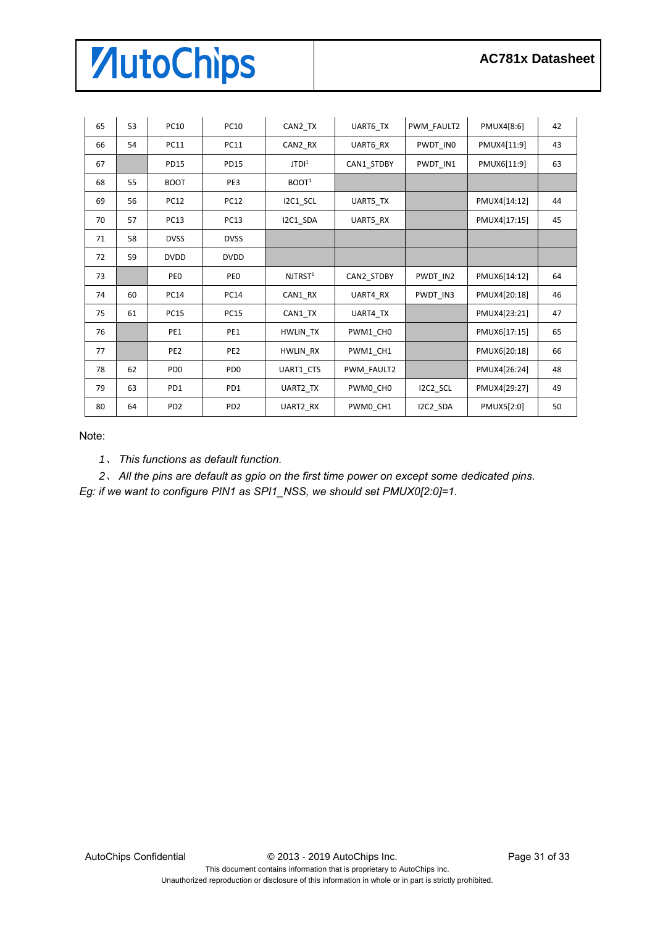| 65 | 53 | <b>PC10</b>     | <b>PC10</b>     | CAN2_TX             | UART6_TX   | PWM FAULT2 | PMUX4[8:6]   | 42 |
|----|----|-----------------|-----------------|---------------------|------------|------------|--------------|----|
| 66 | 54 | <b>PC11</b>     | <b>PC11</b>     | CAN2_RX             | UART6 RX   | PWDT INO   | PMUX4[11:9]  | 43 |
| 67 |    | <b>PD15</b>     | <b>PD15</b>     | JTDI <sup>1</sup>   | CAN1 STDBY | PWDT IN1   | PMUX6[11:9]  | 63 |
| 68 | 55 | <b>BOOT</b>     | PE3             | BOOT <sup>1</sup>   |            |            |              |    |
| 69 | 56 | <b>PC12</b>     | <b>PC12</b>     | I2C1_SCL            | UART5_TX   |            | PMUX4[14:12] | 44 |
| 70 | 57 | <b>PC13</b>     | <b>PC13</b>     | I2C1_SDA            | UART5_RX   |            | PMUX4[17:15] | 45 |
| 71 | 58 | <b>DVSS</b>     | <b>DVSS</b>     |                     |            |            |              |    |
| 72 | 59 | <b>DVDD</b>     | <b>DVDD</b>     |                     |            |            |              |    |
| 73 |    | PE <sub>0</sub> | PE <sub>0</sub> | NJTRST <sup>1</sup> | CAN2_STDBY | PWDT_IN2   | PMUX6[14:12] | 64 |
| 74 | 60 | <b>PC14</b>     | <b>PC14</b>     | CAN1_RX             | UART4 RX   | PWDT_IN3   | PMUX4[20:18] | 46 |
| 75 | 61 | <b>PC15</b>     | <b>PC15</b>     | CAN1_TX             | UART4_TX   |            | PMUX4[23:21] | 47 |
| 76 |    | PE1             | PE1             | HWLIN TX            | PWM1 CH0   |            | PMUX6[17:15] | 65 |
| 77 |    | PE <sub>2</sub> | PE <sub>2</sub> | <b>HWLIN RX</b>     | PWM1 CH1   |            | PMUX6[20:18] | 66 |
| 78 | 62 | PD <sub>0</sub> | PD <sub>0</sub> | UART1 CTS           | PWM FAULT2 |            | PMUX4[26:24] | 48 |
| 79 | 63 | PD1             | PD1             | UART2 TX            | PWM0 CH0   | I2C2_SCL   | PMUX4[29:27] | 49 |
| 80 | 64 | PD <sub>2</sub> | PD <sub>2</sub> | UART2 RX            | PWM0_CH1   | I2C2 SDA   | PMUX5[2:0]   | 50 |

Note:

、 *This functions as default function.*

、 *All the pins are default as gpio on the first time power on except some dedicated pins. Eg: if we want to configure PIN1 as SPI1\_NSS, we should set PMUX0[2:0]=1.*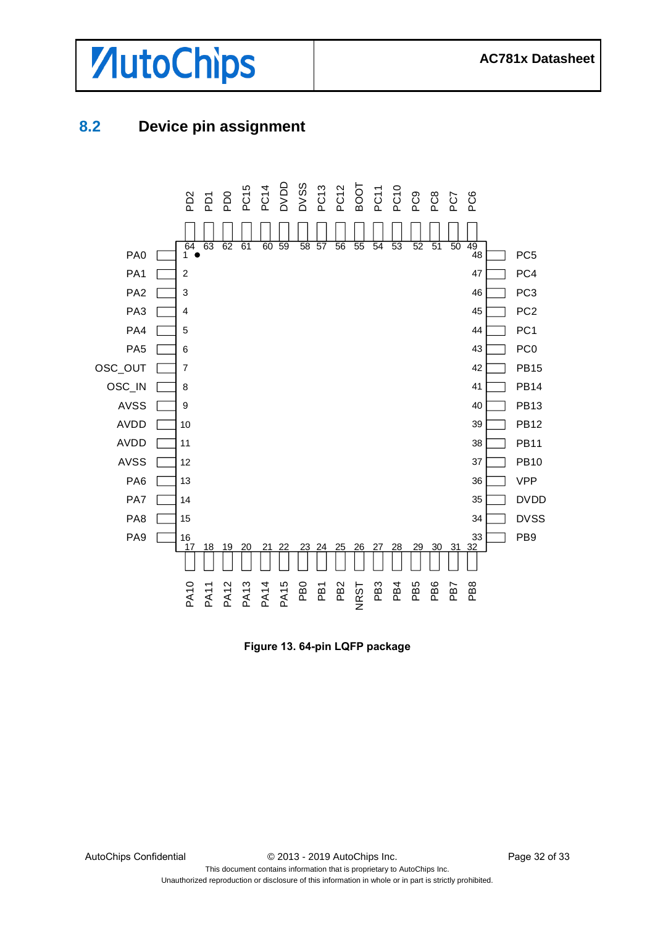



### <span id="page-31-0"></span>**8.2 Device pin assignment**



**Figure 13. 64-pin LQFP package**